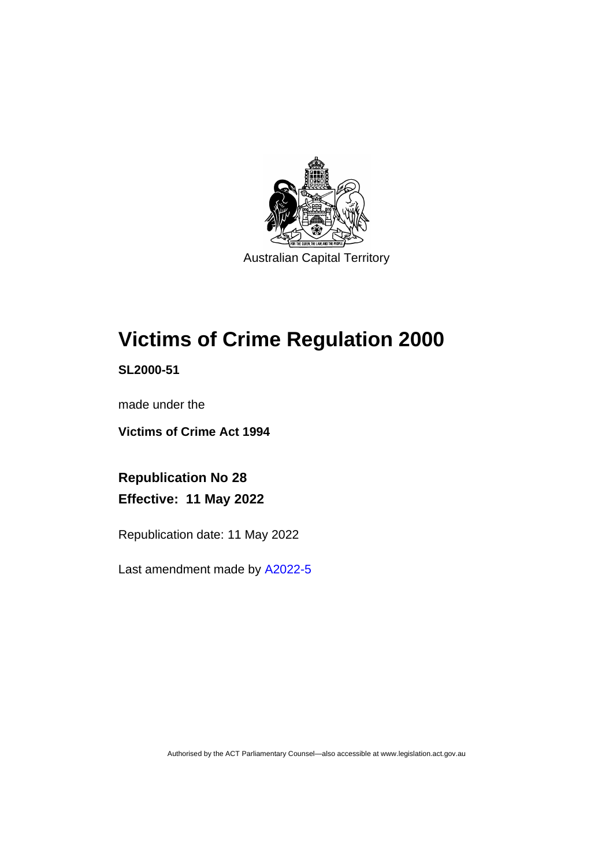

# **Victims of Crime Regulation 2000**

**SL2000-51**

made under the

**Victims of Crime Act 1994**

**Republication No 28 Effective: 11 May 2022**

Republication date: 11 May 2022

Last amendment made by [A2022-5](http://www.legislation.act.gov.au/a/2022-5/)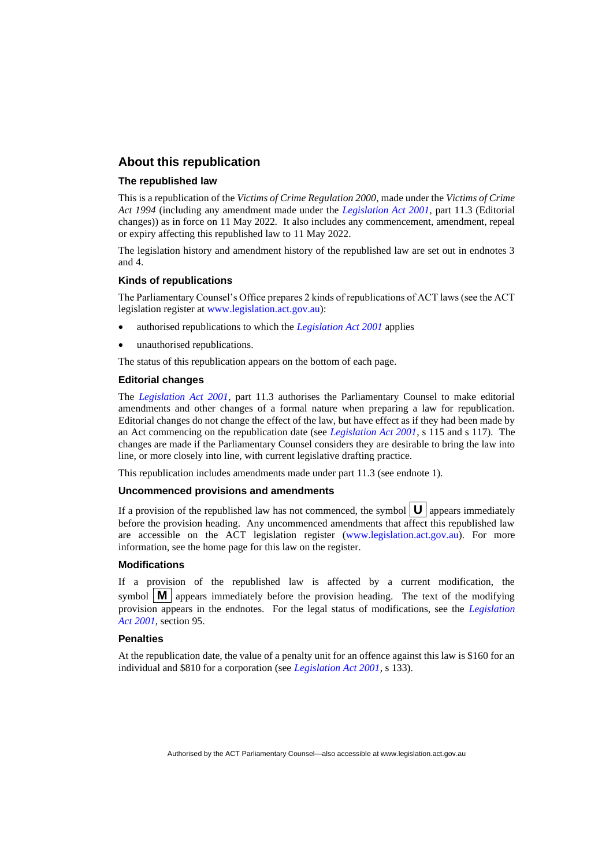# **About this republication**

#### **The republished law**

This is a republication of the *Victims of Crime Regulation 2000*, made under the *Victims of Crime Act 1994* (including any amendment made under the *[Legislation Act 2001](http://www.legislation.act.gov.au/a/2001-14)*, part 11.3 (Editorial changes)) as in force on 11 May 2022*.* It also includes any commencement, amendment, repeal or expiry affecting this republished law to 11 May 2022.

The legislation history and amendment history of the republished law are set out in endnotes 3 and 4.

#### **Kinds of republications**

The Parliamentary Counsel's Office prepares 2 kinds of republications of ACT laws (see the ACT legislation register at [www.legislation.act.gov.au\)](http://www.legislation.act.gov.au/):

- authorised republications to which the *[Legislation Act 2001](http://www.legislation.act.gov.au/a/2001-14)* applies
- unauthorised republications.

The status of this republication appears on the bottom of each page.

#### **Editorial changes**

The *[Legislation Act 2001](http://www.legislation.act.gov.au/a/2001-14)*, part 11.3 authorises the Parliamentary Counsel to make editorial amendments and other changes of a formal nature when preparing a law for republication. Editorial changes do not change the effect of the law, but have effect as if they had been made by an Act commencing on the republication date (see *[Legislation Act 2001](http://www.legislation.act.gov.au/a/2001-14)*, s 115 and s 117). The changes are made if the Parliamentary Counsel considers they are desirable to bring the law into line, or more closely into line, with current legislative drafting practice.

This republication includes amendments made under part 11.3 (see endnote 1).

#### **Uncommenced provisions and amendments**

If a provision of the republished law has not commenced, the symbol  $\mathbf{U}$  appears immediately before the provision heading. Any uncommenced amendments that affect this republished law are accessible on the ACT legislation register [\(www.legislation.act.gov.au\)](http://www.legislation.act.gov.au/). For more information, see the home page for this law on the register.

#### **Modifications**

If a provision of the republished law is affected by a current modification, the symbol  $\mathbf{M}$  appears immediately before the provision heading. The text of the modifying provision appears in the endnotes. For the legal status of modifications, see the *[Legislation](http://www.legislation.act.gov.au/a/2001-14)  Act [2001](http://www.legislation.act.gov.au/a/2001-14)*, section 95.

#### **Penalties**

At the republication date, the value of a penalty unit for an offence against this law is \$160 for an individual and \$810 for a corporation (see *[Legislation Act 2001](http://www.legislation.act.gov.au/a/2001-14)*, s 133).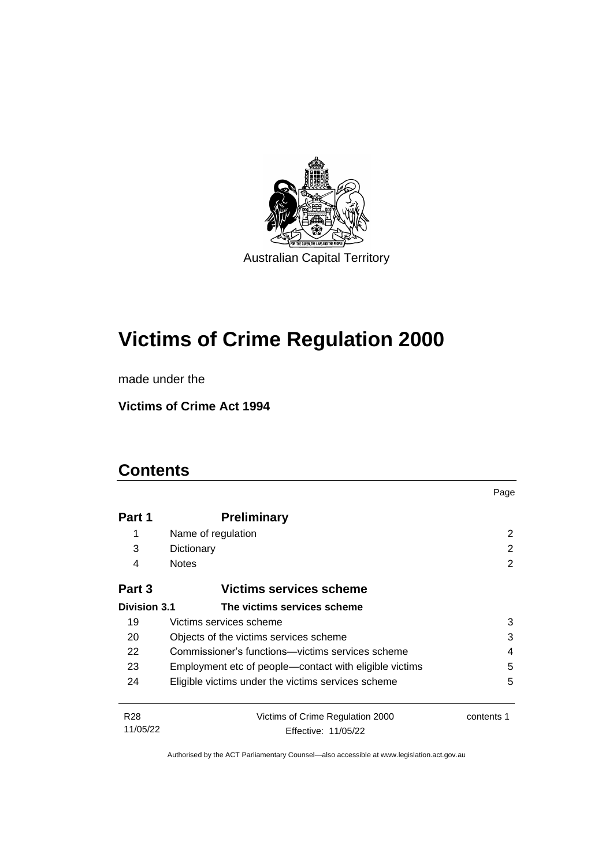

# **Victims of Crime Regulation 2000**

made under the

**Victims of Crime Act 1994**

# **Contents**

|                 |                                                        | Page       |
|-----------------|--------------------------------------------------------|------------|
| Part 1          | <b>Preliminary</b>                                     |            |
| 1               | Name of regulation                                     | 2          |
| 3               | Dictionary                                             | 2          |
| 4               | <b>Notes</b>                                           | 2          |
| Part 3          | <b>Victims services scheme</b>                         |            |
| Division 3.1    | The victims services scheme                            |            |
| 19              | Victims services scheme                                | 3          |
| 20              | 3<br>Objects of the victims services scheme            |            |
| 22              | Commissioner's functions—victims services scheme<br>4  |            |
| 23              | Employment etc of people—contact with eligible victims | 5          |
| 24              | Eligible victims under the victims services scheme     | 5          |
| R <sub>28</sub> | Victims of Crime Regulation 2000                       | contents 1 |
| 11/05/22        | Effective: 11/05/22                                    |            |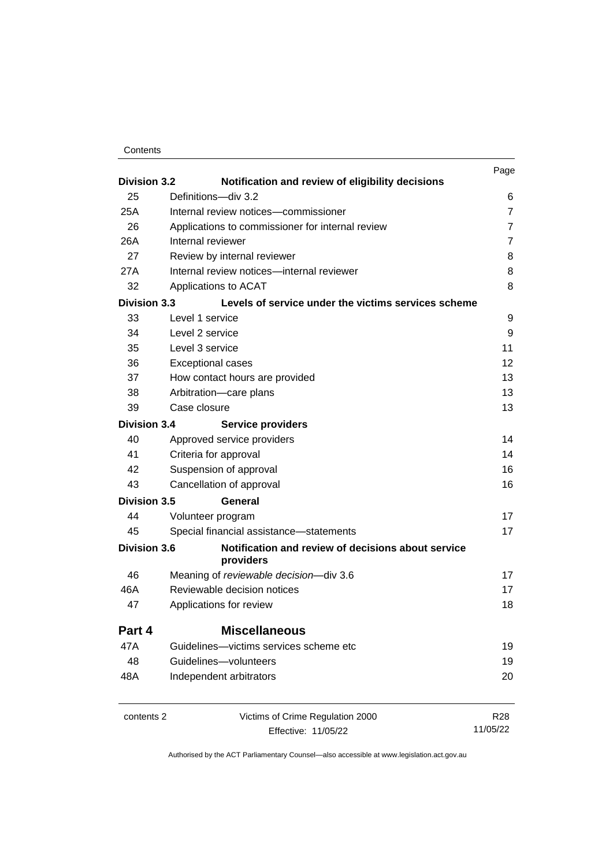| Contents |
|----------|
|----------|

| <b>Division 3.2</b> |                                                                         | Page              |
|---------------------|-------------------------------------------------------------------------|-------------------|
| 25                  | Notification and review of eligibility decisions<br>Definitions-div 3.2 | 6                 |
| 25A                 | Internal review notices-commissioner                                    | $\overline{7}$    |
| 26                  | Applications to commissioner for internal review                        | $\overline{7}$    |
| 26A                 | Internal reviewer                                                       | $\overline{7}$    |
| 27                  | Review by internal reviewer                                             | 8                 |
| 27A                 | Internal review notices-internal reviewer                               | 8                 |
| 32                  | Applications to ACAT                                                    | 8                 |
| <b>Division 3.3</b> | Levels of service under the victims services scheme                     |                   |
| 33                  | Level 1 service                                                         | 9                 |
| 34                  | Level 2 service                                                         | 9                 |
| 35                  | Level 3 service                                                         | 11                |
| 36                  | <b>Exceptional cases</b>                                                | $12 \overline{ }$ |
| 37                  | How contact hours are provided                                          | 13                |
| 38                  | Arbitration-care plans                                                  | 13                |
| 39                  | Case closure                                                            | 13                |
| <b>Division 3.4</b> | <b>Service providers</b>                                                |                   |
| 40                  | Approved service providers                                              | 14                |
| 41                  | Criteria for approval                                                   | 14                |
| 42                  | Suspension of approval                                                  | 16                |
| 43                  | Cancellation of approval                                                | 16                |
| <b>Division 3.5</b> | General                                                                 |                   |
| 44                  | Volunteer program                                                       | 17                |
| 45                  | Special financial assistance-statements                                 | 17                |
| <b>Division 3.6</b> | Notification and review of decisions about service<br>providers         |                   |
| 46                  | Meaning of reviewable decision-div 3.6                                  | 17                |
| 46A                 | Reviewable decision notices                                             | 17                |
| 47                  | Applications for review                                                 | 18                |
| Part 4              | <b>Miscellaneous</b>                                                    |                   |
| 47A                 | Guidelines-victims services scheme etc                                  | 19                |
| 48                  | Guidelines-volunteers                                                   | 19                |
| 48A                 | Independent arbitrators                                                 | 20                |
| contents 2          | Victims of Crime Regulation 2000                                        | <b>R28</b>        |
|                     | Effective: 11/05/22                                                     | 11/05/22          |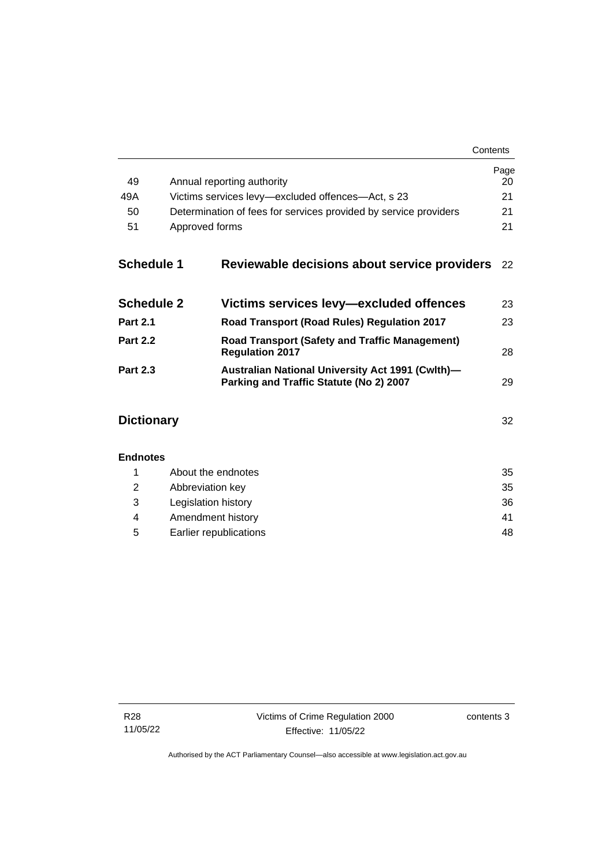| Contents |
|----------|
|----------|

| 49                   | Annual reporting authority                                                                         | Page<br>20 |  |
|----------------------|----------------------------------------------------------------------------------------------------|------------|--|
| 49A                  | Victims services levy-excluded offences-Act, s 23                                                  |            |  |
| 50                   | Determination of fees for services provided by service providers                                   |            |  |
| 51<br>Approved forms |                                                                                                    |            |  |
| <b>Schedule 1</b>    | Reviewable decisions about service providers                                                       | 22         |  |
| <b>Schedule 2</b>    | Victims services levy-excluded offences                                                            | 23         |  |
| <b>Part 2.1</b>      | Road Transport (Road Rules) Regulation 2017                                                        | 23         |  |
| <b>Part 2.2</b>      | <b>Road Transport (Safety and Traffic Management)</b><br><b>Regulation 2017</b>                    | 28         |  |
| <b>Part 2.3</b>      | <b>Australian National University Act 1991 (Cwlth)-</b><br>Parking and Traffic Statute (No 2) 2007 | 29         |  |
| <b>Dictionary</b>    |                                                                                                    | 32         |  |
| <b>Endnotes</b>      |                                                                                                    |            |  |
| 1                    | About the endnotes                                                                                 | 35         |  |
| 2                    | Abbreviation key                                                                                   | 35         |  |
| 3                    | Legislation history                                                                                | 36         |  |
| 4                    | Amendment history                                                                                  | 41         |  |

5 [Earlier republications](#page-53-0) 48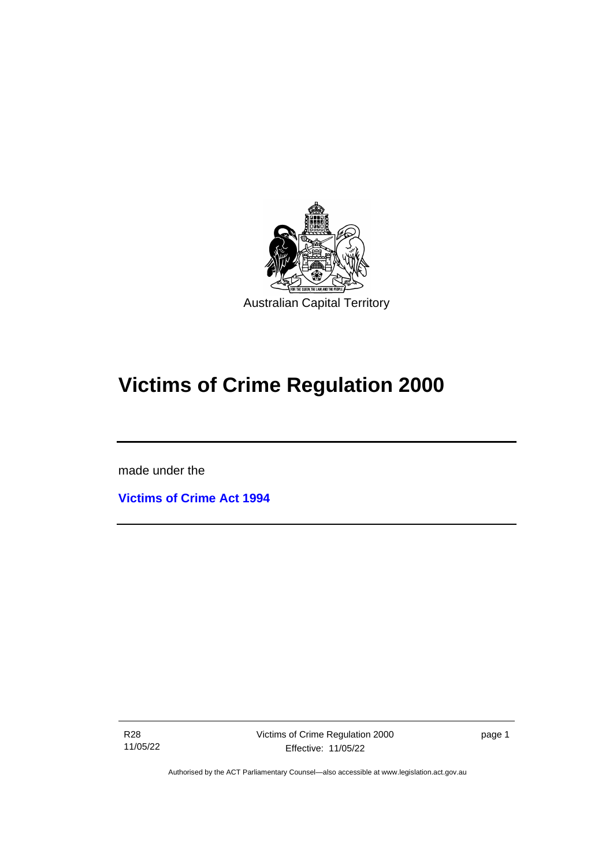

# **Victims of Crime Regulation 2000**

made under the

ֺֺ֡

**[Victims of Crime Act 1994](http://www.legislation.act.gov.au/a/1994-83)**

R28 11/05/22 page 1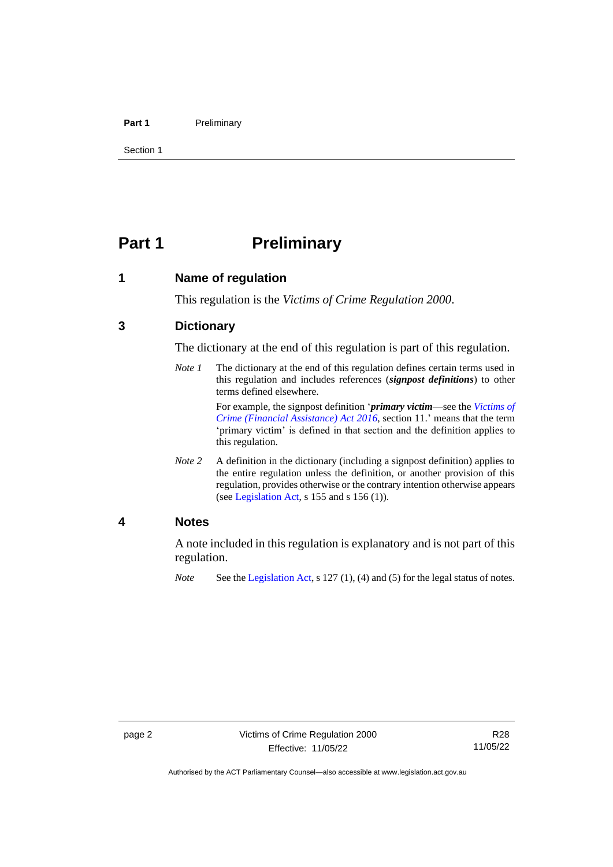#### **Part 1** Preliminary

Section 1

# <span id="page-7-0"></span>**Part 1 Preliminary**

<span id="page-7-1"></span>**1 Name of regulation**

This regulation is the *Victims of Crime Regulation 2000*.

# <span id="page-7-2"></span>**3 Dictionary**

The dictionary at the end of this regulation is part of this regulation.

*Note 1* The dictionary at the end of this regulation defines certain terms used in this regulation and includes references (*signpost definitions*) to other terms defined elsewhere.

> For example, the signpost definition '*primary victim*—see the *[Victims of](http://www.legislation.act.gov.au/a/2016-12/default.asp)  [Crime \(Financial Assistance\) Act](http://www.legislation.act.gov.au/a/2016-12/default.asp) 2016*, section 11.' means that the term 'primary victim' is defined in that section and the definition applies to this regulation.

*Note* 2 A definition in the dictionary (including a signpost definition) applies to the entire regulation unless the definition, or another provision of this regulation, provides otherwise or the contrary intention otherwise appears (se[e Legislation Act,](http://www.legislation.act.gov.au/a/2001-14) s 155 and s 156 (1)).

# <span id="page-7-3"></span>**4 Notes**

A note included in this regulation is explanatory and is not part of this regulation.

*Note* See the [Legislation Act,](http://www.legislation.act.gov.au/a/2001-14) s 127 (1), (4) and (5) for the legal status of notes.

Authorised by the ACT Parliamentary Counsel—also accessible at www.legislation.act.gov.au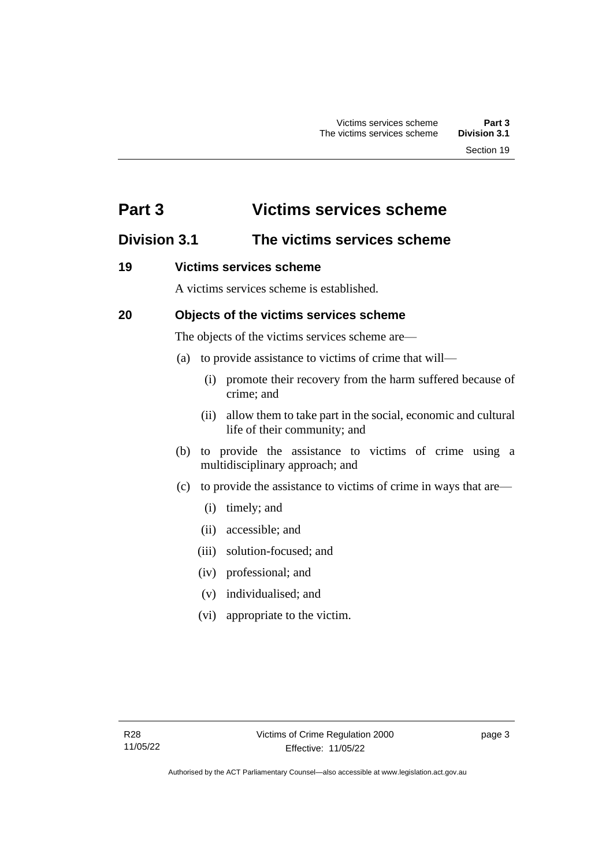# <span id="page-8-0"></span>**Part 3 Victims services scheme**

# <span id="page-8-1"></span>**Division 3.1 The victims services scheme**

# <span id="page-8-2"></span>**19 Victims services scheme**

A victims services scheme is established.

# <span id="page-8-3"></span>**20 Objects of the victims services scheme**

The objects of the victims services scheme are—

- (a) to provide assistance to victims of crime that will—
	- (i) promote their recovery from the harm suffered because of crime; and
	- (ii) allow them to take part in the social, economic and cultural life of their community; and
- (b) to provide the assistance to victims of crime using a multidisciplinary approach; and
- (c) to provide the assistance to victims of crime in ways that are—
	- (i) timely; and
	- (ii) accessible; and
	- (iii) solution-focused; and
	- (iv) professional; and
	- (v) individualised; and
	- (vi) appropriate to the victim.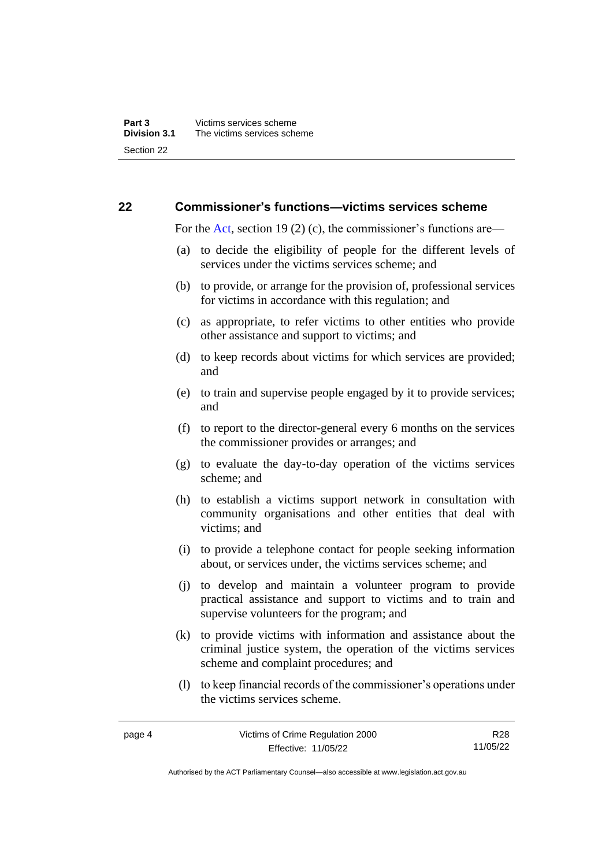# <span id="page-9-0"></span>**22 Commissioner's functions—victims services scheme**

For the [Act,](http://www.legislation.act.gov.au/a/1994-83/default.asp) section 19 (2) (c), the commissioner's functions are—

- (a) to decide the eligibility of people for the different levels of services under the victims services scheme; and
- (b) to provide, or arrange for the provision of, professional services for victims in accordance with this regulation; and
- (c) as appropriate, to refer victims to other entities who provide other assistance and support to victims; and
- (d) to keep records about victims for which services are provided; and
- (e) to train and supervise people engaged by it to provide services; and
- (f) to report to the director-general every 6 months on the services the commissioner provides or arranges; and
- (g) to evaluate the day-to-day operation of the victims services scheme; and
- (h) to establish a victims support network in consultation with community organisations and other entities that deal with victims; and
- (i) to provide a telephone contact for people seeking information about, or services under, the victims services scheme; and
- (j) to develop and maintain a volunteer program to provide practical assistance and support to victims and to train and supervise volunteers for the program; and
- (k) to provide victims with information and assistance about the criminal justice system, the operation of the victims services scheme and complaint procedures; and
- (l) to keep financial records of the commissioner's operations under the victims services scheme.

R28 11/05/22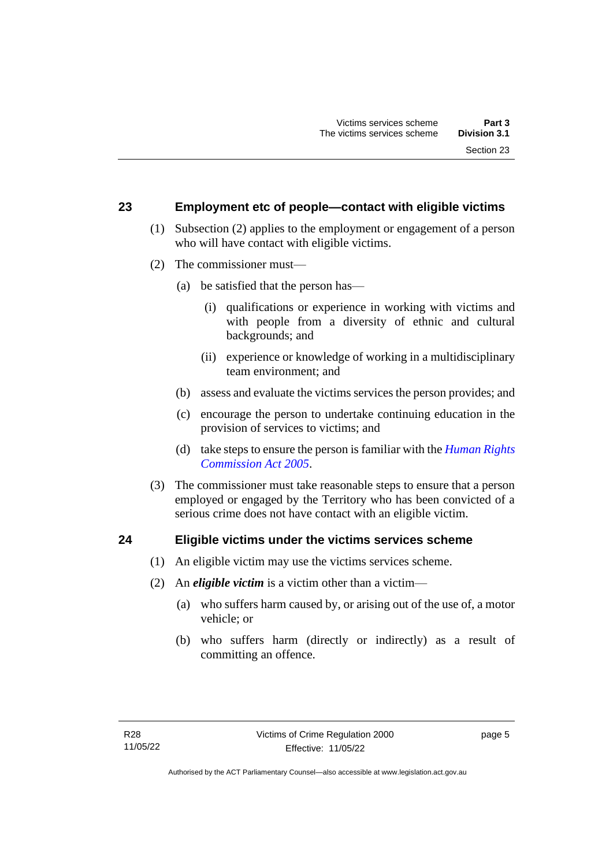# <span id="page-10-0"></span>**23 Employment etc of people—contact with eligible victims**

- (1) Subsection (2) applies to the employment or engagement of a person who will have contact with eligible victims.
- (2) The commissioner must—
	- (a) be satisfied that the person has—
		- (i) qualifications or experience in working with victims and with people from a diversity of ethnic and cultural backgrounds; and
		- (ii) experience or knowledge of working in a multidisciplinary team environment; and
	- (b) assess and evaluate the victims services the person provides; and
	- (c) encourage the person to undertake continuing education in the provision of services to victims; and
	- (d) take steps to ensure the person is familiar with the *[Human Rights](http://www.legislation.act.gov.au/a/2005-40)  [Commission Act 2005](http://www.legislation.act.gov.au/a/2005-40)*.
- (3) The commissioner must take reasonable steps to ensure that a person employed or engaged by the Territory who has been convicted of a serious crime does not have contact with an eligible victim.

### <span id="page-10-1"></span>**24 Eligible victims under the victims services scheme**

- (1) An eligible victim may use the victims services scheme.
- (2) An *eligible victim* is a victim other than a victim—
	- (a) who suffers harm caused by, or arising out of the use of, a motor vehicle; or
	- (b) who suffers harm (directly or indirectly) as a result of committing an offence.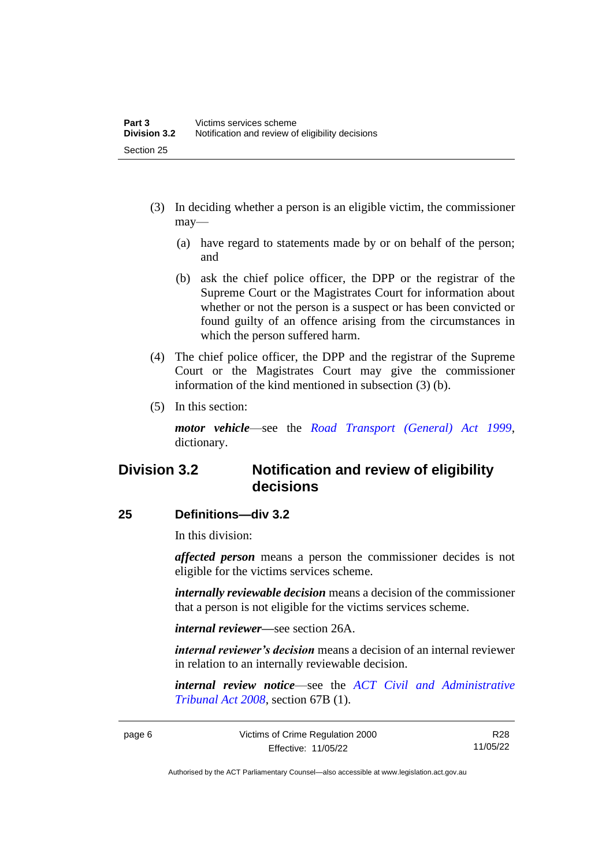- (3) In deciding whether a person is an eligible victim, the commissioner may—
	- (a) have regard to statements made by or on behalf of the person; and
	- (b) ask the chief police officer, the DPP or the registrar of the Supreme Court or the Magistrates Court for information about whether or not the person is a suspect or has been convicted or found guilty of an offence arising from the circumstances in which the person suffered harm.
- (4) The chief police officer, the DPP and the registrar of the Supreme Court or the Magistrates Court may give the commissioner information of the kind mentioned in subsection (3) (b).
- (5) In this section:

*motor vehicle*—see the *[Road Transport \(General\) Act 1999](http://www.legislation.act.gov.au/a/1999-77)*, dictionary.

# <span id="page-11-0"></span>**Division 3.2 Notification and review of eligibility decisions**

# <span id="page-11-1"></span>**25 Definitions—div 3.2**

In this division:

*affected person* means a person the commissioner decides is not eligible for the victims services scheme.

*internally reviewable decision* means a decision of the commissioner that a person is not eligible for the victims services scheme.

*internal reviewer—*see section 26A.

*internal reviewer's decision* means a decision of an internal reviewer in relation to an internally reviewable decision.

*internal review notice*—see the *[ACT Civil and Administrative](http://www.legislation.act.gov.au/a/2008-35)  [Tribunal Act 2008](http://www.legislation.act.gov.au/a/2008-35)*, section 67B (1).

page 6 Victims of Crime Regulation 2000 Effective: 11/05/22

R28 11/05/22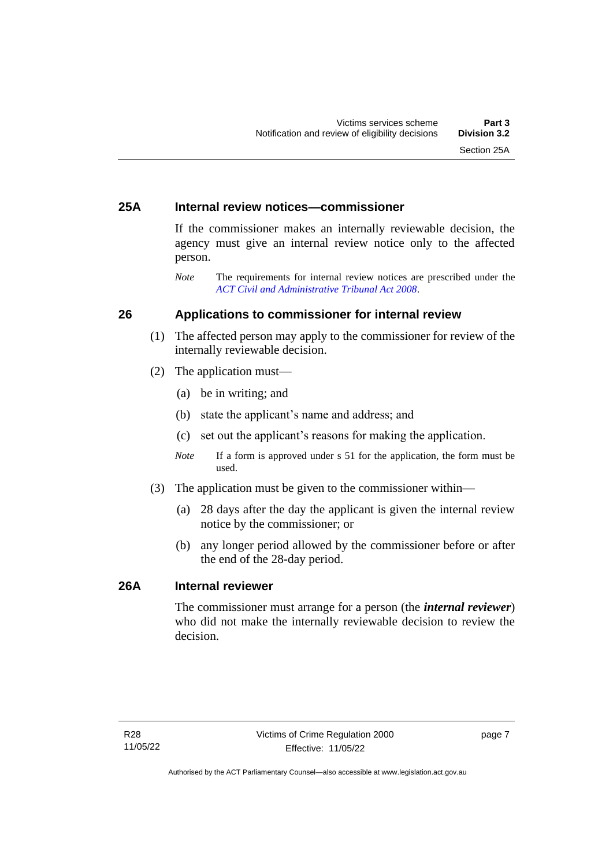# <span id="page-12-0"></span>**25A Internal review notices—commissioner**

If the commissioner makes an internally reviewable decision, the agency must give an internal review notice only to the affected person.

*Note* The requirements for internal review notices are prescribed under the *[ACT Civil and Administrative Tribunal Act 2008](http://www.legislation.act.gov.au/a/2008-35)*.

# <span id="page-12-1"></span>**26 Applications to commissioner for internal review**

- (1) The affected person may apply to the commissioner for review of the internally reviewable decision.
- (2) The application must—
	- (a) be in writing; and
	- (b) state the applicant's name and address; and
	- (c) set out the applicant's reasons for making the application.
	- *Note* If a form is approved under s 51 for the application, the form must be used.
- (3) The application must be given to the commissioner within—
	- (a) 28 days after the day the applicant is given the internal review notice by the commissioner; or
	- (b) any longer period allowed by the commissioner before or after the end of the 28-day period.

# <span id="page-12-2"></span>**26A Internal reviewer**

The commissioner must arrange for a person (the *internal reviewer*) who did not make the internally reviewable decision to review the decision.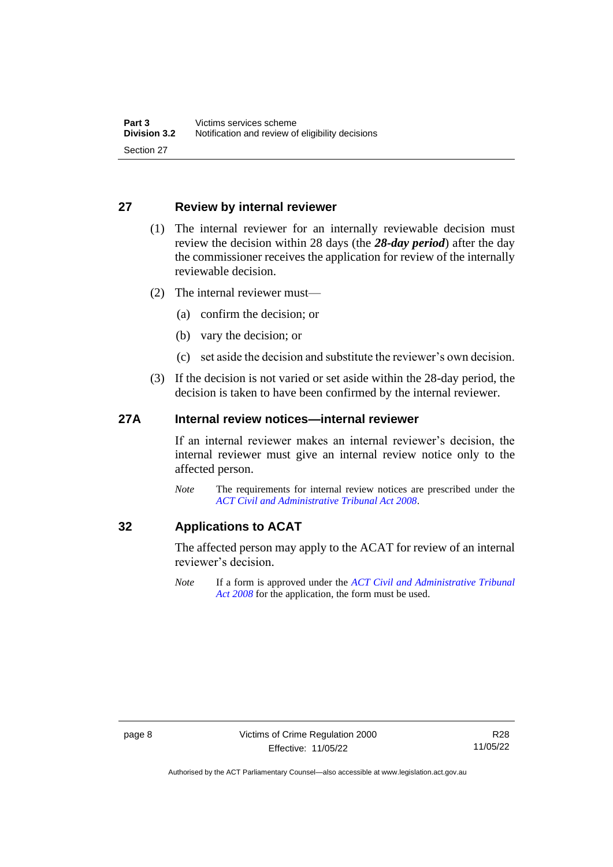# <span id="page-13-0"></span>**27 Review by internal reviewer**

- (1) The internal reviewer for an internally reviewable decision must review the decision within 28 days (the *28-day period*) after the day the commissioner receives the application for review of the internally reviewable decision.
- (2) The internal reviewer must—
	- (a) confirm the decision; or
	- (b) vary the decision; or
	- (c) set aside the decision and substitute the reviewer's own decision.
- (3) If the decision is not varied or set aside within the 28-day period, the decision is taken to have been confirmed by the internal reviewer.

# <span id="page-13-1"></span>**27A Internal review notices—internal reviewer**

If an internal reviewer makes an internal reviewer's decision, the internal reviewer must give an internal review notice only to the affected person.

*Note* The requirements for internal review notices are prescribed under the *[ACT Civil and Administrative Tribunal Act 2008](http://www.legislation.act.gov.au/a/2008-35)*.

# <span id="page-13-2"></span>**32 Applications to ACAT**

The affected person may apply to the ACAT for review of an internal reviewer's decision.

*Note* If a form is approved under the *[ACT Civil and Administrative Tribunal](http://www.legislation.act.gov.au/a/2008-35)  [Act 2008](http://www.legislation.act.gov.au/a/2008-35)* for the application, the form must be used.

Authorised by the ACT Parliamentary Counsel—also accessible at www.legislation.act.gov.au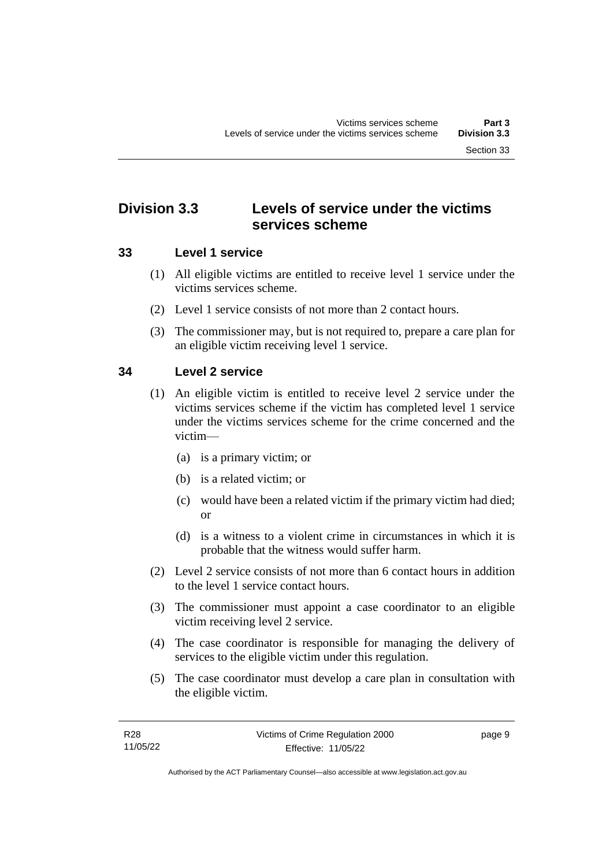# <span id="page-14-0"></span>**Division 3.3 Levels of service under the victims services scheme**

# <span id="page-14-1"></span>**33 Level 1 service**

- (1) All eligible victims are entitled to receive level 1 service under the victims services scheme.
- (2) Level 1 service consists of not more than 2 contact hours.
- (3) The commissioner may, but is not required to, prepare a care plan for an eligible victim receiving level 1 service.

# <span id="page-14-2"></span>**34 Level 2 service**

- (1) An eligible victim is entitled to receive level 2 service under the victims services scheme if the victim has completed level 1 service under the victims services scheme for the crime concerned and the victim—
	- (a) is a primary victim; or
	- (b) is a related victim; or
	- (c) would have been a related victim if the primary victim had died; or
	- (d) is a witness to a violent crime in circumstances in which it is probable that the witness would suffer harm.
- (2) Level 2 service consists of not more than 6 contact hours in addition to the level 1 service contact hours.
- (3) The commissioner must appoint a case coordinator to an eligible victim receiving level 2 service.
- (4) The case coordinator is responsible for managing the delivery of services to the eligible victim under this regulation.
- (5) The case coordinator must develop a care plan in consultation with the eligible victim.

page 9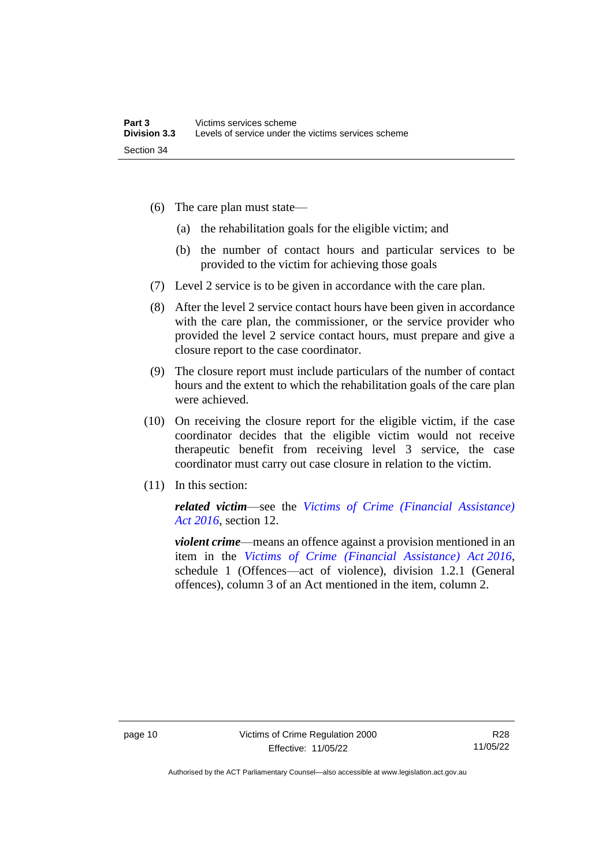- (6) The care plan must state—
	- (a) the rehabilitation goals for the eligible victim; and
	- (b) the number of contact hours and particular services to be provided to the victim for achieving those goals
- (7) Level 2 service is to be given in accordance with the care plan.
- (8) After the level 2 service contact hours have been given in accordance with the care plan, the commissioner, or the service provider who provided the level 2 service contact hours, must prepare and give a closure report to the case coordinator.
- (9) The closure report must include particulars of the number of contact hours and the extent to which the rehabilitation goals of the care plan were achieved.
- (10) On receiving the closure report for the eligible victim, if the case coordinator decides that the eligible victim would not receive therapeutic benefit from receiving level 3 service, the case coordinator must carry out case closure in relation to the victim.
- (11) In this section:

*related victim*—see the *[Victims of Crime \(Financial Assistance\)](http://www.legislation.act.gov.au/a/2016-12/default.asp)  Act [2016](http://www.legislation.act.gov.au/a/2016-12/default.asp)*, section 12.

*violent crime*—means an offence against a provision mentioned in an item in the *[Victims of Crime \(Financial Assistance\) Act](http://www.legislation.act.gov.au/a/2016-12/default.asp) 2016*, schedule 1 (Offences—act of violence), division 1.2.1 (General offences), column 3 of an Act mentioned in the item, column 2.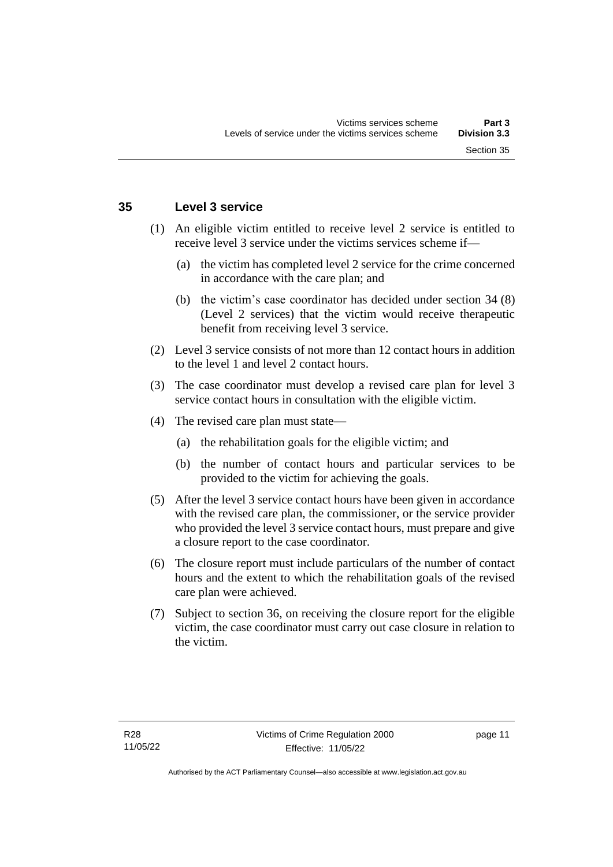## <span id="page-16-0"></span>**35 Level 3 service**

- (1) An eligible victim entitled to receive level 2 service is entitled to receive level 3 service under the victims services scheme if—
	- (a) the victim has completed level 2 service for the crime concerned in accordance with the care plan; and
	- (b) the victim's case coordinator has decided under section 34 (8) (Level 2 services) that the victim would receive therapeutic benefit from receiving level 3 service.
- (2) Level 3 service consists of not more than 12 contact hours in addition to the level 1 and level 2 contact hours.
- (3) The case coordinator must develop a revised care plan for level 3 service contact hours in consultation with the eligible victim.
- (4) The revised care plan must state—
	- (a) the rehabilitation goals for the eligible victim; and
	- (b) the number of contact hours and particular services to be provided to the victim for achieving the goals.
- (5) After the level 3 service contact hours have been given in accordance with the revised care plan, the commissioner, or the service provider who provided the level 3 service contact hours, must prepare and give a closure report to the case coordinator.
- (6) The closure report must include particulars of the number of contact hours and the extent to which the rehabilitation goals of the revised care plan were achieved.
- (7) Subject to section 36, on receiving the closure report for the eligible victim, the case coordinator must carry out case closure in relation to the victim.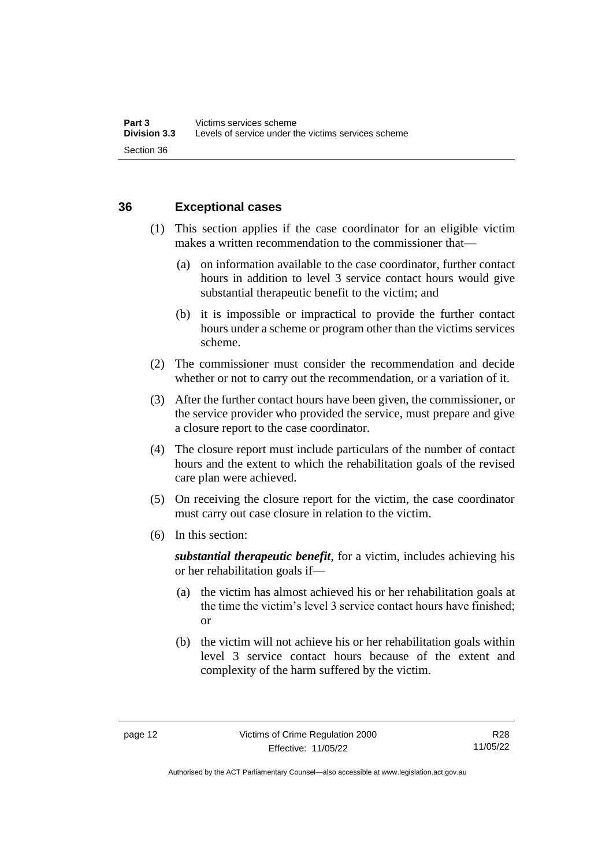# <span id="page-17-0"></span>**36 Exceptional cases**

- (1) This section applies if the case coordinator for an eligible victim makes a written recommendation to the commissioner that—
	- (a) on information available to the case coordinator, further contact hours in addition to level 3 service contact hours would give substantial therapeutic benefit to the victim; and
	- (b) it is impossible or impractical to provide the further contact hours under a scheme or program other than the victims services scheme.
- (2) The commissioner must consider the recommendation and decide whether or not to carry out the recommendation, or a variation of it.
- (3) After the further contact hours have been given, the commissioner, or the service provider who provided the service, must prepare and give a closure report to the case coordinator.
- (4) The closure report must include particulars of the number of contact hours and the extent to which the rehabilitation goals of the revised care plan were achieved.
- (5) On receiving the closure report for the victim, the case coordinator must carry out case closure in relation to the victim.
- (6) In this section:

*substantial therapeutic benefit*, for a victim, includes achieving his or her rehabilitation goals if—

- (a) the victim has almost achieved his or her rehabilitation goals at the time the victim's level 3 service contact hours have finished; or
- (b) the victim will not achieve his or her rehabilitation goals within level 3 service contact hours because of the extent and complexity of the harm suffered by the victim.

Authorised by the ACT Parliamentary Counsel—also accessible at www.legislation.act.gov.au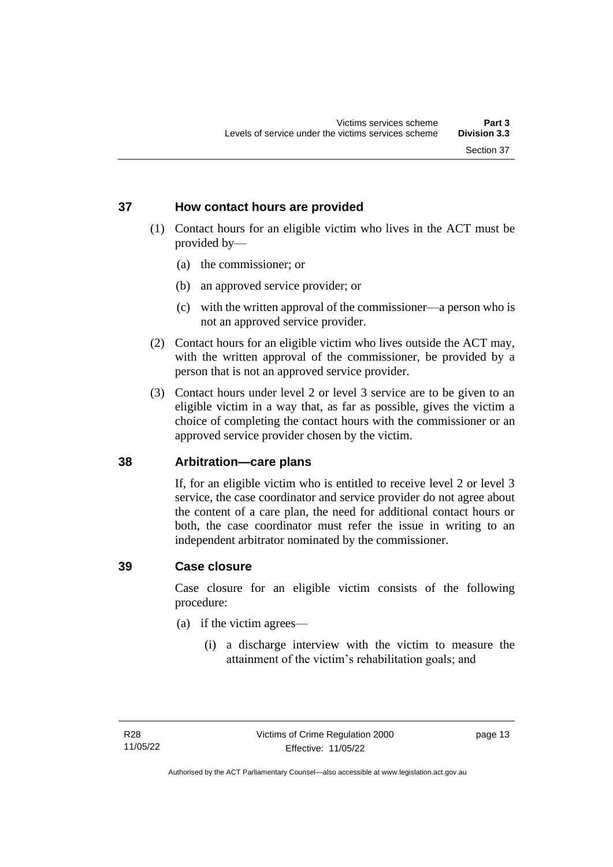# <span id="page-18-0"></span>**37 How contact hours are provided**

- (1) Contact hours for an eligible victim who lives in the ACT must be provided by—
	- (a) the commissioner; or
	- (b) an approved service provider; or
	- (c) with the written approval of the commissioner—a person who is not an approved service provider.
- (2) Contact hours for an eligible victim who lives outside the ACT may, with the written approval of the commissioner, be provided by a person that is not an approved service provider.
- (3) Contact hours under level 2 or level 3 service are to be given to an eligible victim in a way that, as far as possible, gives the victim a choice of completing the contact hours with the commissioner or an approved service provider chosen by the victim.

# <span id="page-18-1"></span>**38 Arbitration—care plans**

If, for an eligible victim who is entitled to receive level 2 or level 3 service, the case coordinator and service provider do not agree about the content of a care plan, the need for additional contact hours or both, the case coordinator must refer the issue in writing to an independent arbitrator nominated by the commissioner.

### <span id="page-18-2"></span>**39 Case closure**

Case closure for an eligible victim consists of the following procedure:

- (a) if the victim agrees—
	- (i) a discharge interview with the victim to measure the attainment of the victim's rehabilitation goals; and

page 13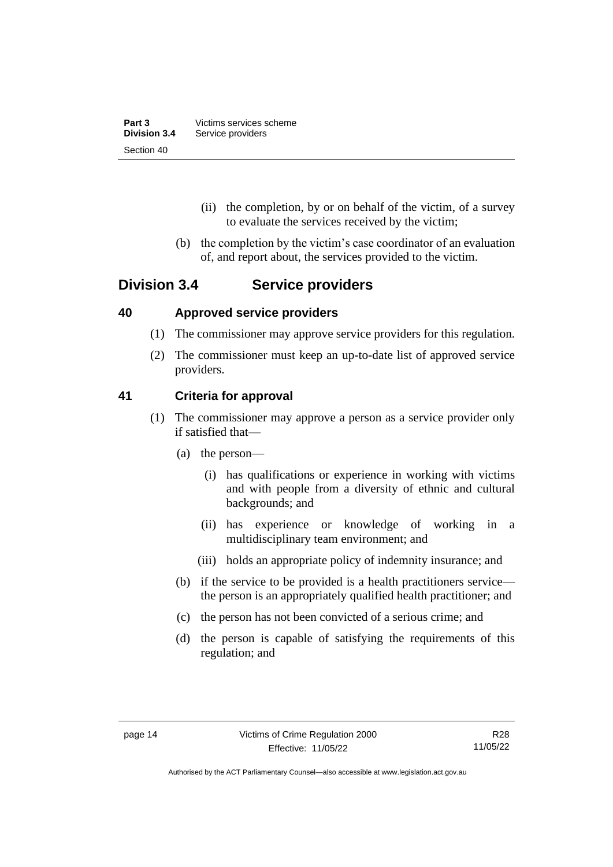| Part 3              | Victims services scheme |
|---------------------|-------------------------|
| <b>Division 3.4</b> | Service providers       |
| Section 40          |                         |

- (ii) the completion, by or on behalf of the victim, of a survey to evaluate the services received by the victim;
- (b) the completion by the victim's case coordinator of an evaluation of, and report about, the services provided to the victim.

# <span id="page-19-0"></span>**Division 3.4 Service providers**

# <span id="page-19-1"></span>**40 Approved service providers**

- (1) The commissioner may approve service providers for this regulation.
- (2) The commissioner must keep an up-to-date list of approved service providers.

# <span id="page-19-2"></span>**41 Criteria for approval**

- (1) The commissioner may approve a person as a service provider only if satisfied that—
	- (a) the person—
		- (i) has qualifications or experience in working with victims and with people from a diversity of ethnic and cultural backgrounds; and
		- (ii) has experience or knowledge of working in a multidisciplinary team environment; and
		- (iii) holds an appropriate policy of indemnity insurance; and
	- (b) if the service to be provided is a health practitioners service the person is an appropriately qualified health practitioner; and
	- (c) the person has not been convicted of a serious crime; and
	- (d) the person is capable of satisfying the requirements of this regulation; and

Authorised by the ACT Parliamentary Counsel—also accessible at www.legislation.act.gov.au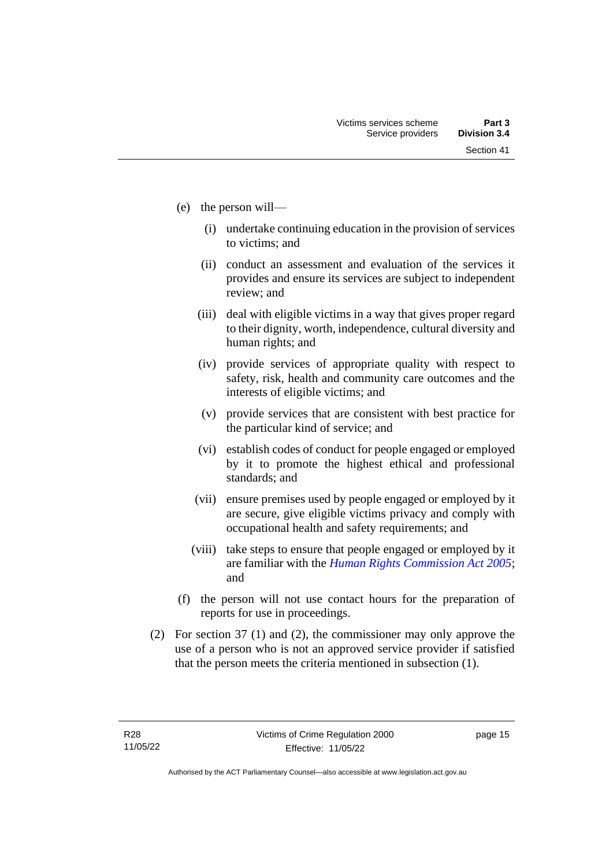- (e) the person will—
	- (i) undertake continuing education in the provision of services to victims; and
	- (ii) conduct an assessment and evaluation of the services it provides and ensure its services are subject to independent review; and
	- (iii) deal with eligible victims in a way that gives proper regard to their dignity, worth, independence, cultural diversity and human rights; and
	- (iv) provide services of appropriate quality with respect to safety, risk, health and community care outcomes and the interests of eligible victims; and
	- (v) provide services that are consistent with best practice for the particular kind of service; and
	- (vi) establish codes of conduct for people engaged or employed by it to promote the highest ethical and professional standards; and
	- (vii) ensure premises used by people engaged or employed by it are secure, give eligible victims privacy and comply with occupational health and safety requirements; and
	- (viii) take steps to ensure that people engaged or employed by it are familiar with the *[Human Rights Commission Act 2005](http://www.legislation.act.gov.au/a/2005-40)*; and
- (f) the person will not use contact hours for the preparation of reports for use in proceedings.
- (2) For section 37 (1) and (2), the commissioner may only approve the use of a person who is not an approved service provider if satisfied that the person meets the criteria mentioned in subsection (1).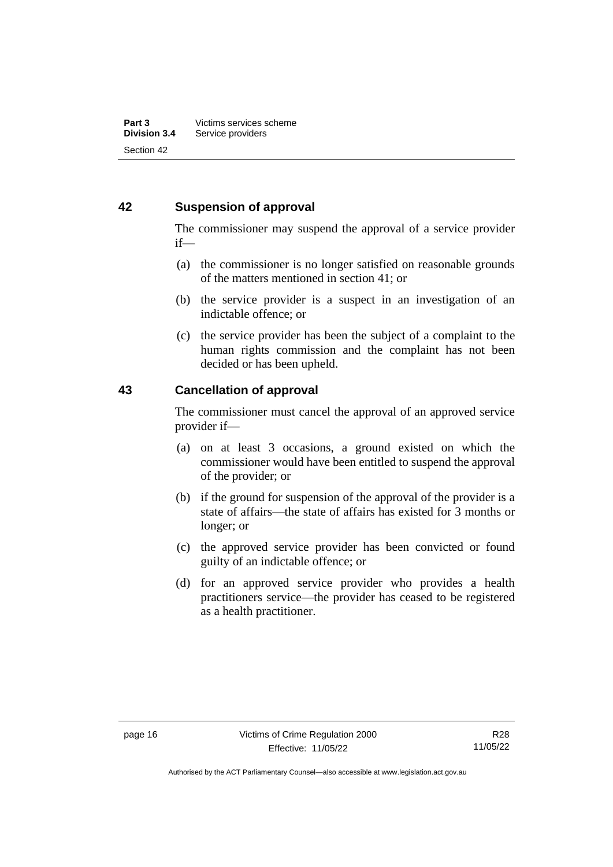# <span id="page-21-0"></span>**42 Suspension of approval**

The commissioner may suspend the approval of a service provider if—

- (a) the commissioner is no longer satisfied on reasonable grounds of the matters mentioned in section 41; or
- (b) the service provider is a suspect in an investigation of an indictable offence; or
- (c) the service provider has been the subject of a complaint to the human rights commission and the complaint has not been decided or has been upheld.

# <span id="page-21-1"></span>**43 Cancellation of approval**

The commissioner must cancel the approval of an approved service provider if—

- (a) on at least 3 occasions, a ground existed on which the commissioner would have been entitled to suspend the approval of the provider; or
- (b) if the ground for suspension of the approval of the provider is a state of affairs—the state of affairs has existed for 3 months or longer; or
- (c) the approved service provider has been convicted or found guilty of an indictable offence; or
- (d) for an approved service provider who provides a health practitioners service—the provider has ceased to be registered as a health practitioner.

Authorised by the ACT Parliamentary Counsel—also accessible at www.legislation.act.gov.au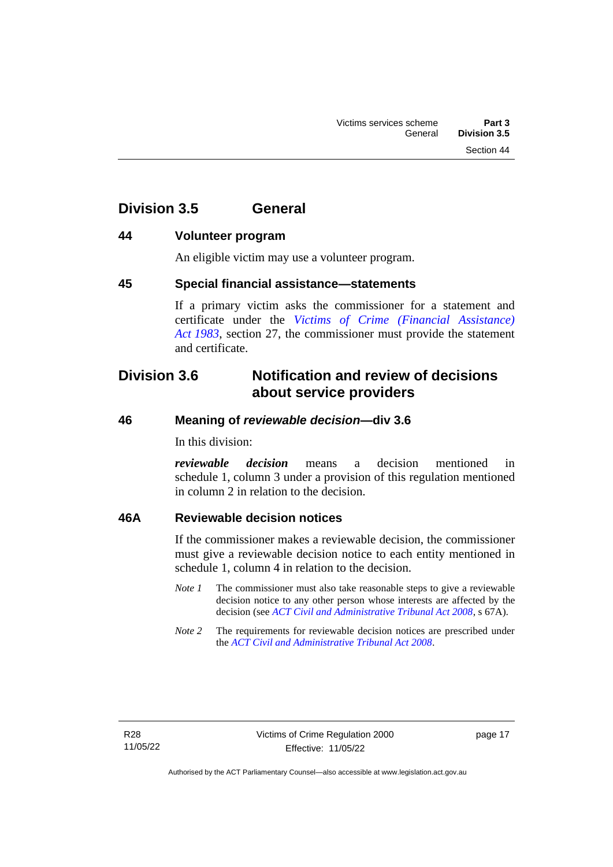Section 44

# <span id="page-22-1"></span>**44 Volunteer program**

<span id="page-22-0"></span>**Division 3.5 General**

An eligible victim may use a volunteer program.

# <span id="page-22-2"></span>**45 Special financial assistance—statements**

If a primary victim asks the commissioner for a statement and certificate under the *[Victims of Crime \(Financial Assistance\)](http://www.legislation.act.gov.au/a/1983-11)  Act [1983](http://www.legislation.act.gov.au/a/1983-11)*, section 27, the commissioner must provide the statement and certificate.

# <span id="page-22-3"></span>**Division 3.6 Notification and review of decisions about service providers**

# <span id="page-22-4"></span>**46 Meaning of** *reviewable decision—***div 3.6**

In this division:

*reviewable decision* means a decision mentioned in schedule 1, column 3 under a provision of this regulation mentioned in column 2 in relation to the decision.

# <span id="page-22-5"></span>**46A Reviewable decision notices**

If the commissioner makes a reviewable decision, the commissioner must give a reviewable decision notice to each entity mentioned in schedule 1, column 4 in relation to the decision.

- *Note 1* The commissioner must also take reasonable steps to give a reviewable decision notice to any other person whose interests are affected by the decision (see *[ACT Civil and Administrative Tribunal Act 2008](http://www.legislation.act.gov.au/a/2008-35)*, s 67A).
- *Note 2* The requirements for reviewable decision notices are prescribed under the *[ACT Civil and Administrative Tribunal Act 2008](http://www.legislation.act.gov.au/a/2008-35)*.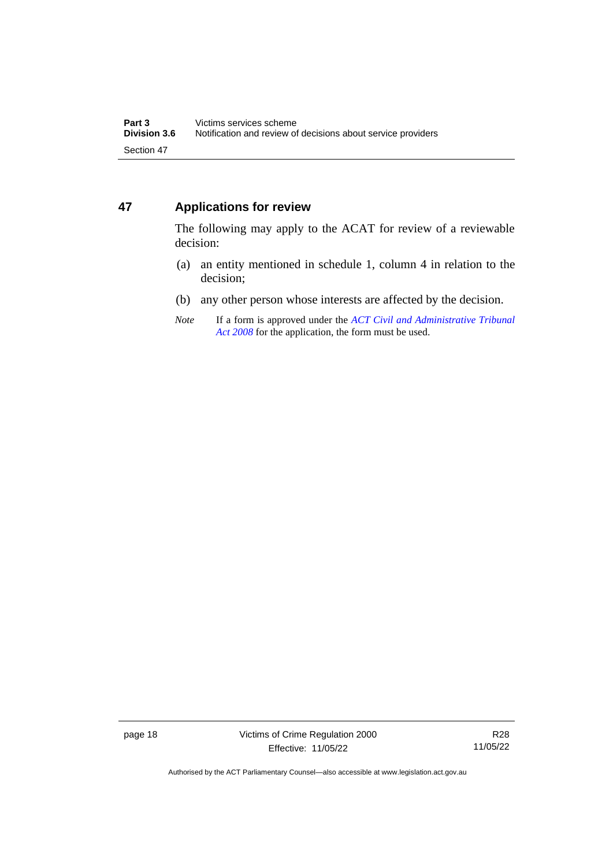# <span id="page-23-0"></span>**47 Applications for review**

The following may apply to the ACAT for review of a reviewable decision:

- (a) an entity mentioned in schedule 1, column 4 in relation to the decision;
- (b) any other person whose interests are affected by the decision.
- *Note* If a form is approved under the *[ACT Civil and Administrative Tribunal](http://www.legislation.act.gov.au/a/2008-35)  [Act 2008](http://www.legislation.act.gov.au/a/2008-35)* for the application, the form must be used.

Authorised by the ACT Parliamentary Counsel—also accessible at www.legislation.act.gov.au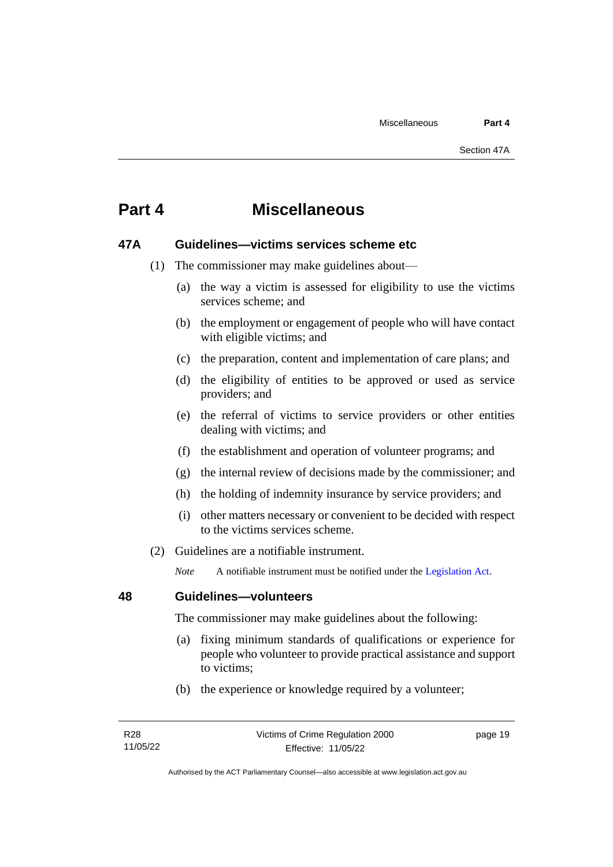# <span id="page-24-0"></span>**Part 4 Miscellaneous**

# <span id="page-24-1"></span>**47A Guidelines—victims services scheme etc**

- (1) The commissioner may make guidelines about—
	- (a) the way a victim is assessed for eligibility to use the victims services scheme; and
	- (b) the employment or engagement of people who will have contact with eligible victims; and
	- (c) the preparation, content and implementation of care plans; and
	- (d) the eligibility of entities to be approved or used as service providers; and
	- (e) the referral of victims to service providers or other entities dealing with victims; and
	- (f) the establishment and operation of volunteer programs; and
	- (g) the internal review of decisions made by the commissioner; and
	- (h) the holding of indemnity insurance by service providers; and
	- (i) other matters necessary or convenient to be decided with respect to the victims services scheme.
- (2) Guidelines are a notifiable instrument.

*Note* A notifiable instrument must be notified under the [Legislation Act.](http://www.legislation.act.gov.au/a/2001-14)

## <span id="page-24-2"></span>**48 Guidelines—volunteers**

The commissioner may make guidelines about the following:

- (a) fixing minimum standards of qualifications or experience for people who volunteer to provide practical assistance and support to victims;
- (b) the experience or knowledge required by a volunteer;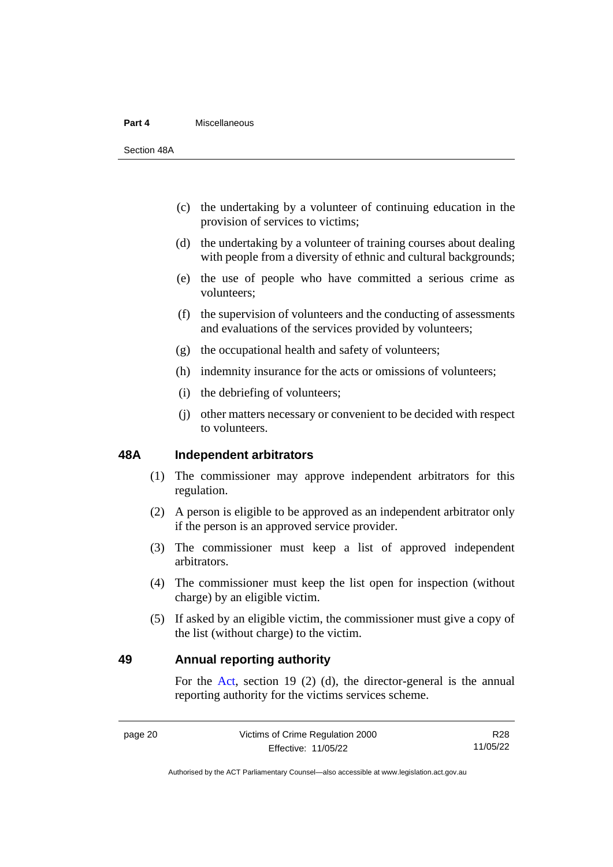#### **Part 4** Miscellaneous

Section 48A

- (c) the undertaking by a volunteer of continuing education in the provision of services to victims;
- (d) the undertaking by a volunteer of training courses about dealing with people from a diversity of ethnic and cultural backgrounds;
- (e) the use of people who have committed a serious crime as volunteers;
- (f) the supervision of volunteers and the conducting of assessments and evaluations of the services provided by volunteers;
- (g) the occupational health and safety of volunteers;
- (h) indemnity insurance for the acts or omissions of volunteers;
- (i) the debriefing of volunteers;
- (j) other matters necessary or convenient to be decided with respect to volunteers.

# <span id="page-25-0"></span>**48A Independent arbitrators**

- (1) The commissioner may approve independent arbitrators for this regulation.
- (2) A person is eligible to be approved as an independent arbitrator only if the person is an approved service provider.
- (3) The commissioner must keep a list of approved independent arbitrators.
- (4) The commissioner must keep the list open for inspection (without charge) by an eligible victim.
- (5) If asked by an eligible victim, the commissioner must give a copy of the list (without charge) to the victim.

# <span id="page-25-1"></span>**49 Annual reporting authority**

For the [Act,](http://www.legislation.act.gov.au/a/1994-83/default.asp) section 19 (2) (d), the director-general is the annual reporting authority for the victims services scheme.

R28 11/05/22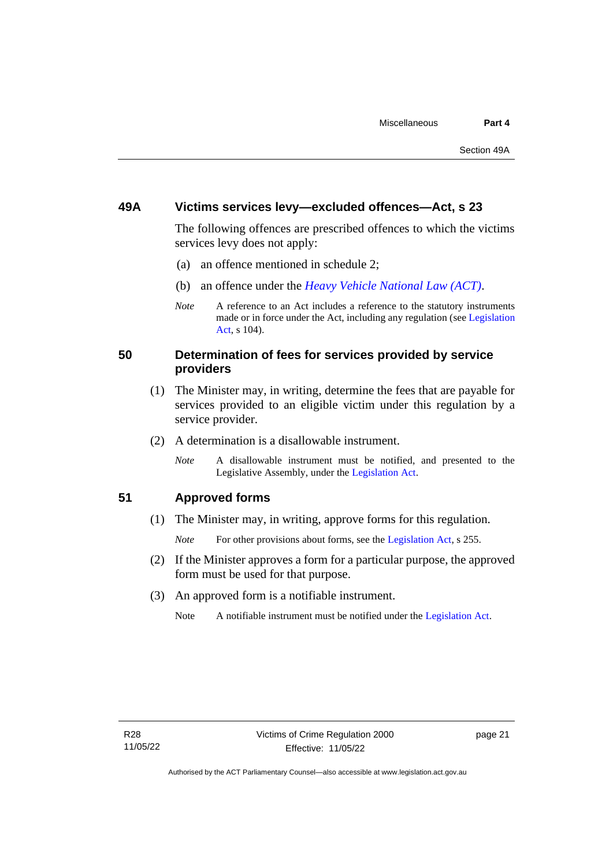# <span id="page-26-0"></span>**49A Victims services levy—excluded offences—Act, s 23**

The following offences are prescribed offences to which the victims services levy does not apply:

- (a) an offence mentioned in schedule 2;
- (b) an offence under the *[Heavy Vehicle National Law \(ACT\)](http://www.legislation.act.gov.au/a/db_49155/default.asp)*.
- *Note* A reference to an Act includes a reference to the statutory instruments made or in force under the Act, including any regulation (se[e Legislation](http://www.legislation.act.gov.au/a/2001-14)  [Act,](http://www.legislation.act.gov.au/a/2001-14) s 104).

# <span id="page-26-1"></span>**50 Determination of fees for services provided by service providers**

- (1) The Minister may, in writing, determine the fees that are payable for services provided to an eligible victim under this regulation by a service provider.
- (2) A determination is a disallowable instrument.
	- *Note* A disallowable instrument must be notified, and presented to the Legislative Assembly, under the [Legislation Act.](http://www.legislation.act.gov.au/a/2001-14)

<span id="page-26-2"></span>**51 Approved forms**

(1) The Minister may, in writing, approve forms for this regulation.

*Note* For other provisions about forms, see the [Legislation Act,](http://www.legislation.act.gov.au/a/2001-14) s 255.

- (2) If the Minister approves a form for a particular purpose, the approved form must be used for that purpose.
- (3) An approved form is a notifiable instrument.
	- Note A notifiable instrument must be notified under the [Legislation Act.](http://www.legislation.act.gov.au/a/2001-14)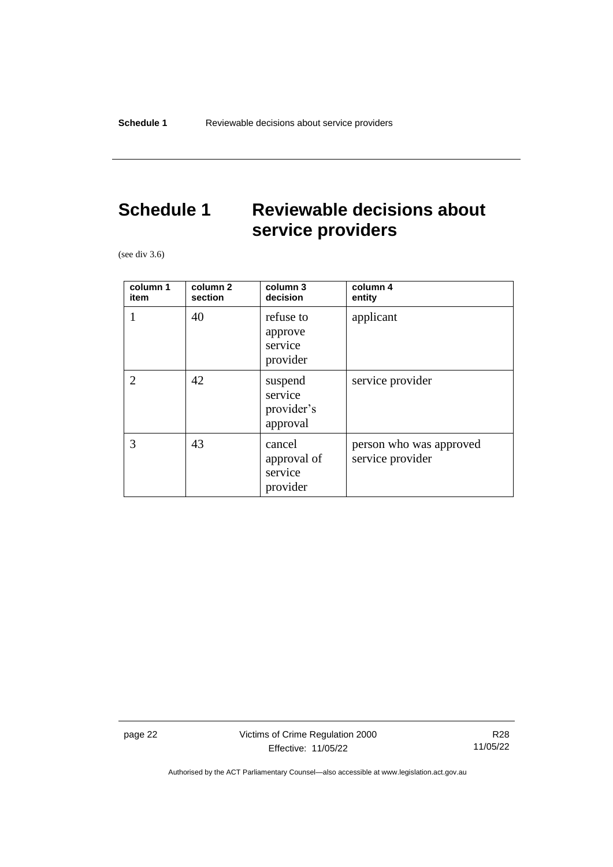# <span id="page-27-0"></span>**Schedule 1 Reviewable decisions about service providers**

(see div 3.6)

| column 1<br>item | column 2<br>section | column 3<br>decision                         | column 4<br>entity                          |
|------------------|---------------------|----------------------------------------------|---------------------------------------------|
| 1                | 40                  | refuse to<br>approve<br>service<br>provider  | applicant                                   |
| $\overline{2}$   | 42                  | suspend<br>service<br>provider's<br>approval | service provider                            |
| 3                | 43                  | cancel<br>approval of<br>service<br>provider | person who was approved<br>service provider |

page 22 Victims of Crime Regulation 2000 Effective: 11/05/22

R28 11/05/22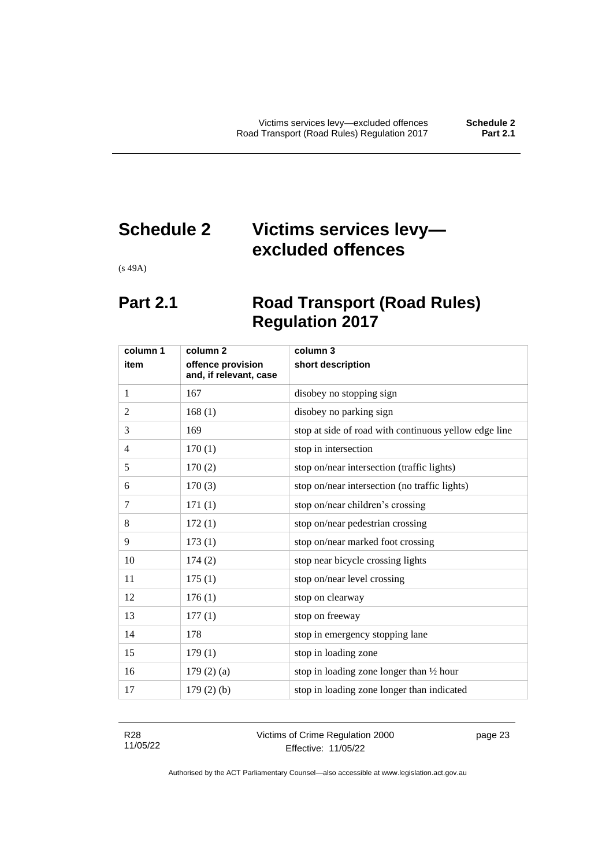# <span id="page-28-0"></span>**Schedule 2 Victims services levy excluded offences**

<span id="page-28-1"></span>(s 49A)

# **Part 2.1 Road Transport (Road Rules) Regulation 2017**

| column 1       | column 2                                    | column 3                                              |
|----------------|---------------------------------------------|-------------------------------------------------------|
| item           | offence provision<br>and, if relevant, case | short description                                     |
| 1              | 167                                         | disobey no stopping sign                              |
| $\overline{2}$ | 168(1)                                      | disobey no parking sign                               |
| 3              | 169                                         | stop at side of road with continuous yellow edge line |
| $\overline{4}$ | 170(1)                                      | stop in intersection                                  |
| 5              | 170(2)                                      | stop on/near intersection (traffic lights)            |
| 6              | 170(3)                                      | stop on/near intersection (no traffic lights)         |
| 7              | 171(1)                                      | stop on/near children's crossing                      |
| 8              | 172(1)                                      | stop on/near pedestrian crossing                      |
| 9              | 173(1)                                      | stop on/near marked foot crossing                     |
| 10             | 174(2)                                      | stop near bicycle crossing lights                     |
| 11             | 175(1)                                      | stop on/near level crossing                           |
| 12             | 176(1)                                      | stop on clearway                                      |
| 13             | 177(1)                                      | stop on freeway                                       |
| 14             | 178                                         | stop in emergency stopping lane                       |
| 15             | 179(1)                                      | stop in loading zone                                  |
| 16             | 179(2)(a)                                   | stop in loading zone longer than 1/2 hour             |
| 17             | $179(2)$ (b)                                | stop in loading zone longer than indicated            |

R28 11/05/22 Victims of Crime Regulation 2000 Effective: 11/05/22

page 23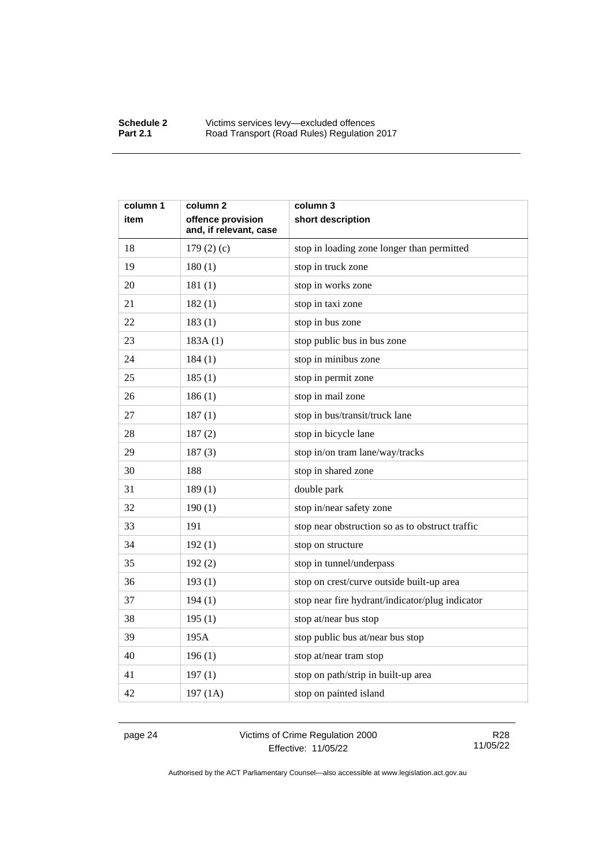| column 1 | column 2                                    | column 3                                        |
|----------|---------------------------------------------|-------------------------------------------------|
| item     | offence provision<br>and, if relevant, case | short description                               |
| 18       | 179(2)(c)                                   | stop in loading zone longer than permitted      |
| 19       | 180(1)                                      | stop in truck zone                              |
| 20       | 181(1)                                      | stop in works zone                              |
| 21       | 182(1)                                      | stop in taxi zone                               |
| 22       | 183(1)                                      | stop in bus zone                                |
| 23       | 183A(1)                                     | stop public bus in bus zone                     |
| 24       | 184(1)                                      | stop in minibus zone                            |
| 25       | 185(1)                                      | stop in permit zone                             |
| 26       | 186(1)                                      | stop in mail zone                               |
| 27       | 187(1)                                      | stop in bus/transit/truck lane                  |
| 28       | 187(2)                                      | stop in bicycle lane                            |
| 29       | 187(3)                                      | stop in/on tram lane/way/tracks                 |
| 30       | 188                                         | stop in shared zone                             |
| 31       | 189(1)                                      | double park                                     |
| 32       | 190(1)                                      | stop in/near safety zone                        |
| 33       | 191                                         | stop near obstruction so as to obstruct traffic |
| 34       | 192(1)                                      | stop on structure                               |
| 35       | 192(2)                                      | stop in tunnel/underpass                        |
| 36       | 193(1)                                      | stop on crest/curve outside built-up area       |
| 37       | 194(1)                                      | stop near fire hydrant/indicator/plug indicator |
| 38       | 195(1)                                      | stop at/near bus stop                           |
| 39       | 195A                                        | stop public bus at/near bus stop                |
| 40       | 196(1)                                      | stop at/near tram stop                          |
| 41       | 197(1)                                      | stop on path/strip in built-up area             |
| 42       | 197(1A)                                     | stop on painted island                          |

page 24 Victims of Crime Regulation 2000 Effective: 11/05/22

R28 11/05/22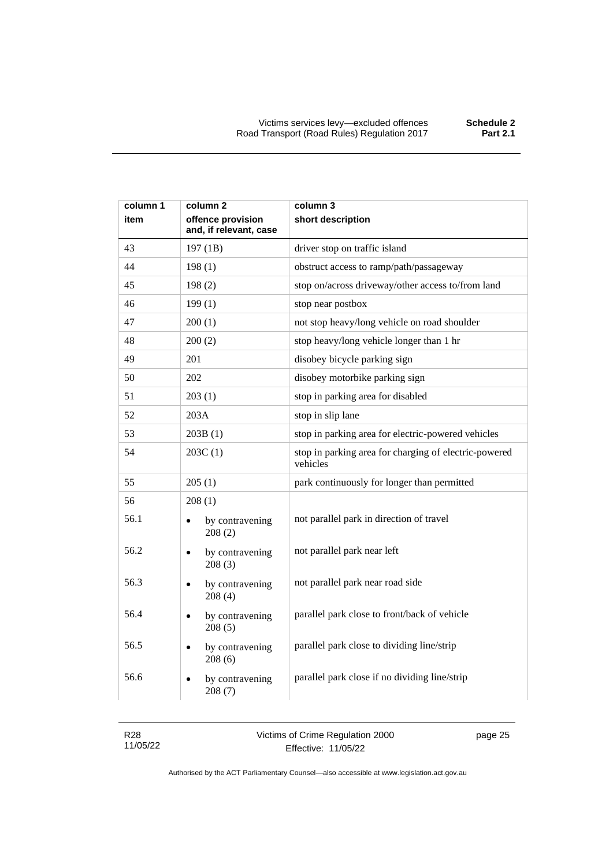| column 1 | column 2                                    | column 3                                                          |
|----------|---------------------------------------------|-------------------------------------------------------------------|
| item     | offence provision<br>and, if relevant, case | short description                                                 |
| 43       | 197 (1B)                                    | driver stop on traffic island                                     |
| 44       | 198(1)                                      | obstruct access to ramp/path/passageway                           |
| 45       | 198(2)                                      | stop on/across driveway/other access to/from land                 |
| 46       | 199(1)                                      | stop near postbox                                                 |
| 47       | 200(1)                                      | not stop heavy/long vehicle on road shoulder                      |
| 48       | 200(2)                                      | stop heavy/long vehicle longer than 1 hr                          |
| 49       | 201                                         | disobey bicycle parking sign                                      |
| 50       | 202                                         | disobey motorbike parking sign                                    |
| 51       | 203(1)                                      | stop in parking area for disabled                                 |
| 52       | 203A                                        | stop in slip lane                                                 |
| 53       | 203B(1)                                     | stop in parking area for electric-powered vehicles                |
| 54       | 203C(1)                                     | stop in parking area for charging of electric-powered<br>vehicles |
| 55       | 205(1)                                      | park continuously for longer than permitted                       |
| 56       | 208(1)                                      |                                                                   |
| 56.1     | by contravening<br>208(2)                   | not parallel park in direction of travel                          |
| 56.2     | by contravening<br>$\bullet$<br>208(3)      | not parallel park near left                                       |
| 56.3     | by contravening<br>$\bullet$<br>208(4)      | not parallel park near road side                                  |
| 56.4     | by contravening<br>$\bullet$<br>208(5)      | parallel park close to front/back of vehicle                      |
| 56.5     | by contravening<br>208(6)                   | parallel park close to dividing line/strip                        |
| 56.6     | by contravening<br>208(7)                   | parallel park close if no dividing line/strip                     |

| R <sub>28</sub> | Victims of Crime Regulation 2000 |
|-----------------|----------------------------------|
| 11/05/22        | Effective: 11/05/22              |

page 25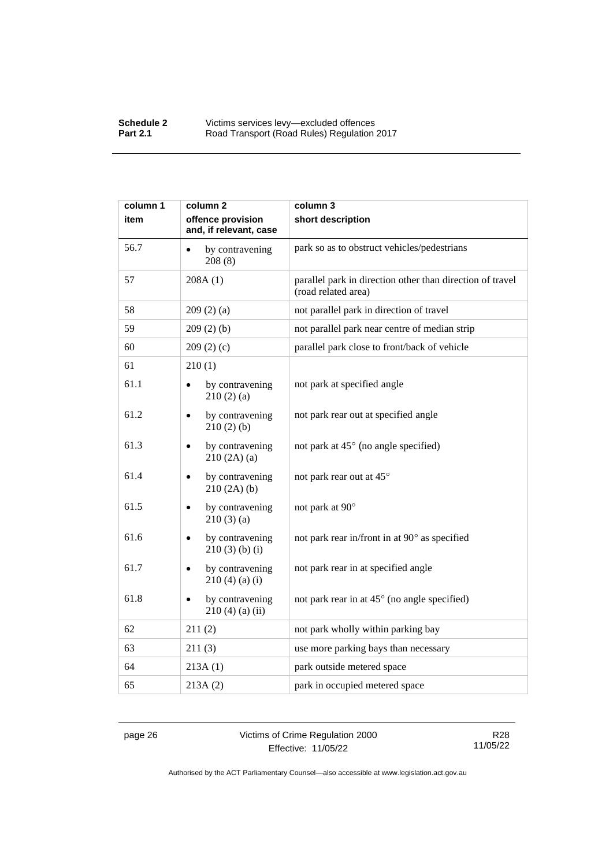| column 1 | column 2                                    | column 3                                                                         |
|----------|---------------------------------------------|----------------------------------------------------------------------------------|
| item     | offence provision<br>and, if relevant, case | short description                                                                |
| 56.7     | by contravening<br>208(8)                   | park so as to obstruct vehicles/pedestrians                                      |
| 57       | 208A(1)                                     | parallel park in direction other than direction of travel<br>(road related area) |
| 58       | 209(2)(a)                                   | not parallel park in direction of travel                                         |
| 59       | 209(2)(b)                                   | not parallel park near centre of median strip                                    |
| 60       | 209(2)(c)                                   | parallel park close to front/back of vehicle                                     |
| 61       | 210(1)                                      |                                                                                  |
| 61.1     | by contravening<br>210(2)(a)                | not park at specified angle                                                      |
| 61.2     | by contravening<br>210(2)(b)                | not park rear out at specified angle                                             |
| 61.3     | by contravening<br>210(2A)(a)               | not park at 45° (no angle specified)                                             |
| 61.4     | by contravening<br>210(2A)(b)               | not park rear out at 45°                                                         |
| 61.5     | by contravening<br>210(3)(a)                | not park at 90°                                                                  |
| 61.6     | by contravening<br>$210(3)$ (b) (i)         | not park rear in/front in at 90° as specified                                    |
| 61.7     | by contravening<br>$210(4)$ (a) (i)         | not park rear in at specified angle                                              |
| 61.8     | by contravening<br>$210(4)$ (a) (ii)        | not park rear in at 45° (no angle specified)                                     |
| 62       | 211(2)                                      | not park wholly within parking bay                                               |
| 63       | 211(3)                                      | use more parking bays than necessary                                             |
| 64       | 213A(1)                                     | park outside metered space                                                       |
| 65       | 213A(2)                                     | park in occupied metered space                                                   |

page 26 Victims of Crime Regulation 2000 Effective: 11/05/22

R28 11/05/22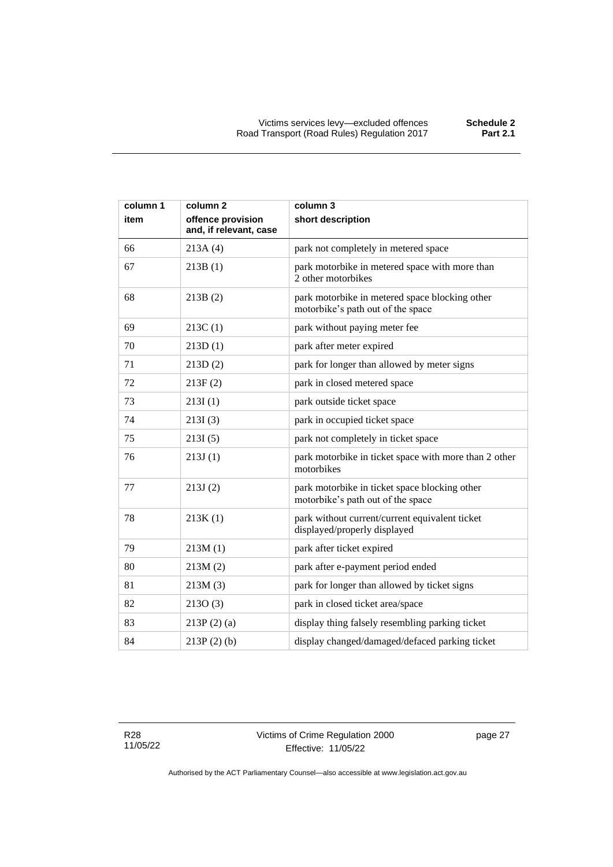| column 1 | column <sub>2</sub>                         | column 3                                                                            |
|----------|---------------------------------------------|-------------------------------------------------------------------------------------|
| item     | offence provision<br>and, if relevant, case | short description                                                                   |
| 66       | 213A(4)                                     | park not completely in metered space                                                |
| 67       | 213B(1)                                     | park motorbike in metered space with more than<br>2 other motorbikes                |
| 68       | 213B(2)                                     | park motorbike in metered space blocking other<br>motorbike's path out of the space |
| 69       | 213C(1)                                     | park without paying meter fee                                                       |
| 70       | 213D(1)                                     | park after meter expired                                                            |
| 71       | 213D(2)                                     | park for longer than allowed by meter signs                                         |
| 72       | 213F(2)                                     | park in closed metered space                                                        |
| 73       | 213I(1)                                     | park outside ticket space                                                           |
| 74       | 213I(3)                                     | park in occupied ticket space                                                       |
| 75       | 213I(5)                                     | park not completely in ticket space                                                 |
| 76       | 213J(1)                                     | park motorbike in ticket space with more than 2 other<br>motorbikes                 |
| 77       | 213J(2)                                     | park motorbike in ticket space blocking other<br>motorbike's path out of the space  |
| 78       | 213K(1)                                     | park without current/current equivalent ticket<br>displayed/properly displayed      |
| 79       | 213M(1)                                     | park after ticket expired                                                           |
| 80       | 213M(2)                                     | park after e-payment period ended                                                   |
| 81       | 213M(3)                                     | park for longer than allowed by ticket signs                                        |
| 82       | 2130(3)                                     | park in closed ticket area/space                                                    |
| 83       | $213P(2)$ (a)                               | display thing falsely resembling parking ticket                                     |
| 84       | $213P(2)$ (b)                               | display changed/damaged/defaced parking ticket                                      |

R28 11/05/22 page 27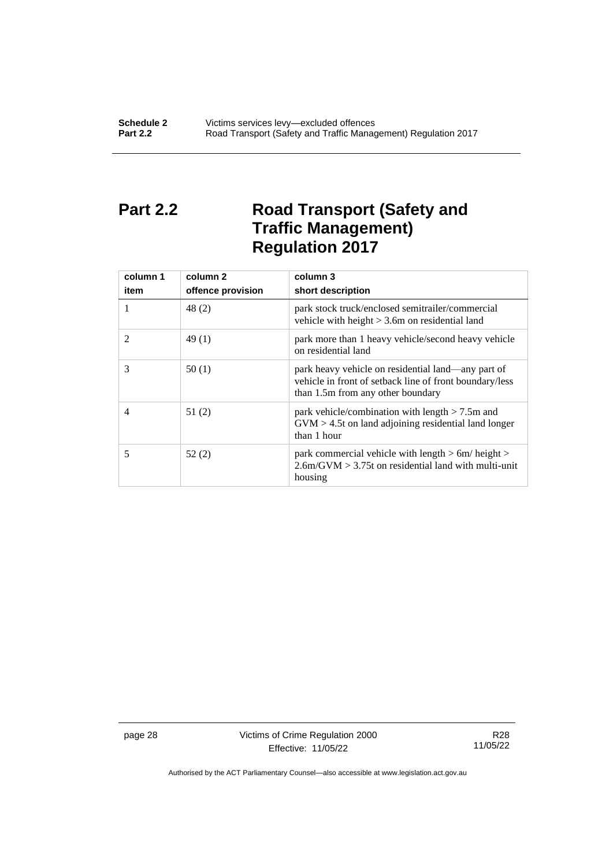# <span id="page-33-0"></span>**Part 2.2 Road Transport (Safety and Traffic Management) Regulation 2017**

| column 1 | column 2          | column 3                                                                                                                                           |
|----------|-------------------|----------------------------------------------------------------------------------------------------------------------------------------------------|
| item     | offence provision | short description                                                                                                                                  |
| 1        | 48(2)             | park stock truck/enclosed semitrailer/commercial<br>vehicle with height $> 3.6$ m on residential land                                              |
| 2        | 49(1)             | park more than 1 heavy vehicle/second heavy vehicle<br>on residential land                                                                         |
| 3        | 50(1)             | park heavy vehicle on residential land—any part of<br>vehicle in front of setback line of front boundary/less<br>than 1.5m from any other boundary |
| 4        | 51(2)             | park vehicle/combination with length $> 7.5$ m and<br>$GVM > 4.5t$ on land adjoining residential land longer<br>than 1 hour                        |
| 5        | 52(2)             | park commercial vehicle with length > 6m/ height ><br>$2.6$ m/GVM $> 3.75$ t on residential land with multi-unit<br>housing                        |

page 28 Victims of Crime Regulation 2000 Effective: 11/05/22

R28 11/05/22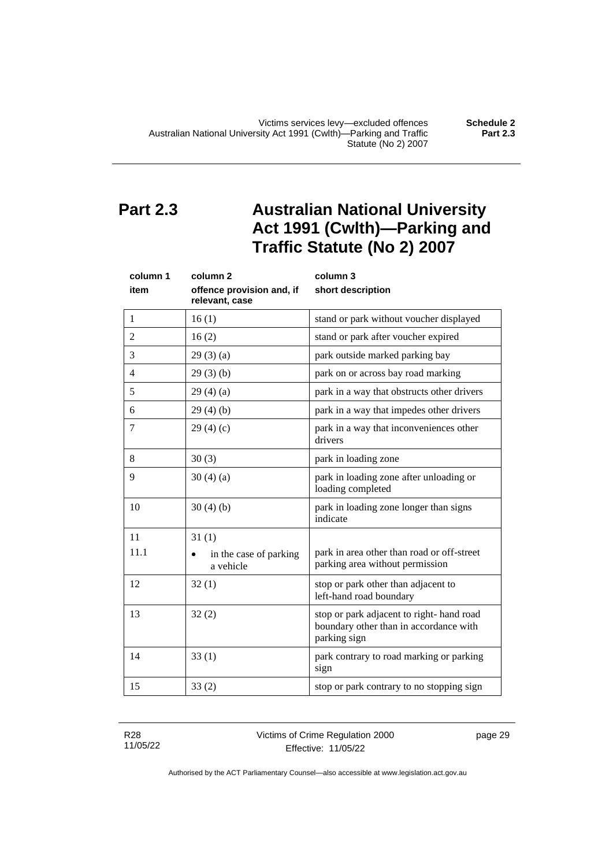# <span id="page-34-0"></span>**Part 2.3 Australian National University Act 1991 (Cwlth)—Parking and Traffic Statute (No 2) 2007**

| column 1       | column <sub>2</sub>                              | column 3                                                                                           |
|----------------|--------------------------------------------------|----------------------------------------------------------------------------------------------------|
| item           | offence provision and, if<br>relevant, case      | short description                                                                                  |
| 1              | 16(1)                                            | stand or park without voucher displayed                                                            |
| 2              | 16(2)                                            | stand or park after voucher expired                                                                |
| 3              | 29(3)(a)                                         | park outside marked parking bay                                                                    |
| $\overline{4}$ | 29(3)(b)                                         | park on or across bay road marking                                                                 |
| 5              | 29(4)(a)                                         | park in a way that obstructs other drivers                                                         |
| 6              | 29(4)(b)                                         | park in a way that impedes other drivers                                                           |
| 7              | 29(4)(c)                                         | park in a way that inconveniences other<br>drivers                                                 |
| 8              | 30(3)                                            | park in loading zone                                                                               |
| 9              | 30(4)(a)                                         | park in loading zone after unloading or<br>loading completed                                       |
| 10             | 30(4)(b)                                         | park in loading zone longer than signs<br>indicate                                                 |
| 11             | 31(1)                                            |                                                                                                    |
| 11.1           | in the case of parking<br>$\bullet$<br>a vehicle | park in area other than road or off-street<br>parking area without permission                      |
| 12             | 32(1)                                            | stop or park other than adjacent to<br>left-hand road boundary                                     |
| 13             | 32(2)                                            | stop or park adjacent to right-hand road<br>boundary other than in accordance with<br>parking sign |
| 14             | 33(1)                                            | park contrary to road marking or parking<br>sign                                                   |
| 15             | 33(2)                                            | stop or park contrary to no stopping sign                                                          |

R28 11/05/22

### Victims of Crime Regulation 2000 Effective: 11/05/22

page 29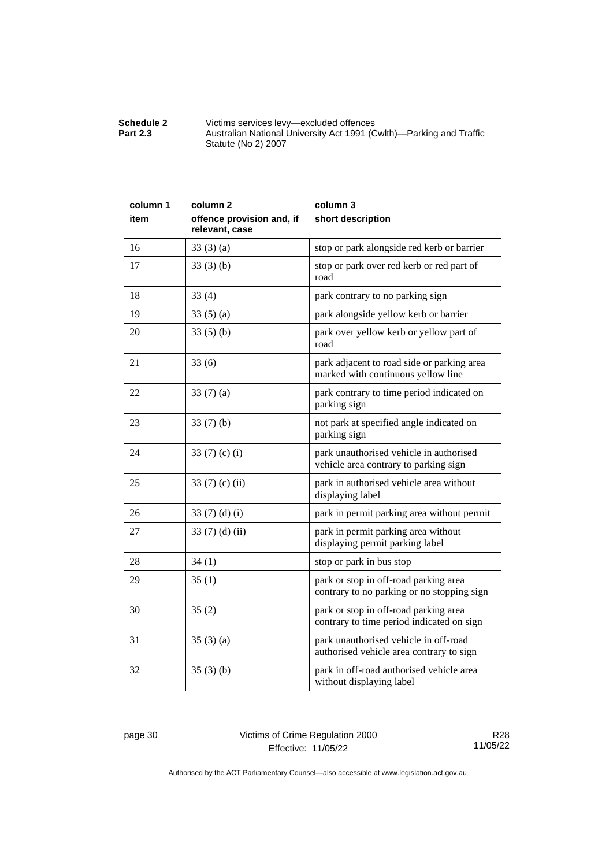| <b>Schedule 2</b> | Victims services levy—excluded offences                             |
|-------------------|---------------------------------------------------------------------|
| <b>Part 2.3</b>   | Australian National University Act 1991 (Cwlth)—Parking and Traffic |
|                   | Statute (No 2) 2007                                                 |

| column 1<br>item | column <sub>2</sub><br>offence provision and, if<br>relevant, case | column 3<br>short description                                                       |
|------------------|--------------------------------------------------------------------|-------------------------------------------------------------------------------------|
| 16               | 33(3)(a)                                                           | stop or park alongside red kerb or barrier                                          |
| 17               | 33(3)(b)                                                           | stop or park over red kerb or red part of<br>road                                   |
| 18               | 33(4)                                                              | park contrary to no parking sign                                                    |
| 19               | 33(5)(a)                                                           | park alongside yellow kerb or barrier                                               |
| 20               | 33(5)(b)                                                           | park over yellow kerb or yellow part of<br>road                                     |
| 21               | 33(6)                                                              | park adjacent to road side or parking area<br>marked with continuous yellow line    |
| 22               | 33 $(7)(a)$                                                        | park contrary to time period indicated on<br>parking sign                           |
| 23               | 33(7)(b)                                                           | not park at specified angle indicated on<br>parking sign                            |
| 24               | 33 $(7)$ $(c)$ $(i)$                                               | park unauthorised vehicle in authorised<br>vehicle area contrary to parking sign    |
| 25               | 33 $(7)$ $(c)$ $(ii)$                                              | park in authorised vehicle area without<br>displaying label                         |
| 26               | 33 $(7)$ $(d)$ $(i)$                                               | park in permit parking area without permit                                          |
| 27               | 33 $(7)$ $(d)$ $(ii)$                                              | park in permit parking area without<br>displaying permit parking label              |
| 28               | 34(1)                                                              | stop or park in bus stop                                                            |
| 29               | 35(1)                                                              | park or stop in off-road parking area<br>contrary to no parking or no stopping sign |
| 30               | 35(2)                                                              | park or stop in off-road parking area<br>contrary to time period indicated on sign  |
| 31               | 35(3)(a)                                                           | park unauthorised vehicle in off-road<br>authorised vehicle area contrary to sign   |
| 32               | 35(3)(b)                                                           | park in off-road authorised vehicle area<br>without displaying label                |

page 30 Victims of Crime Regulation 2000 Effective: 11/05/22

R28 11/05/22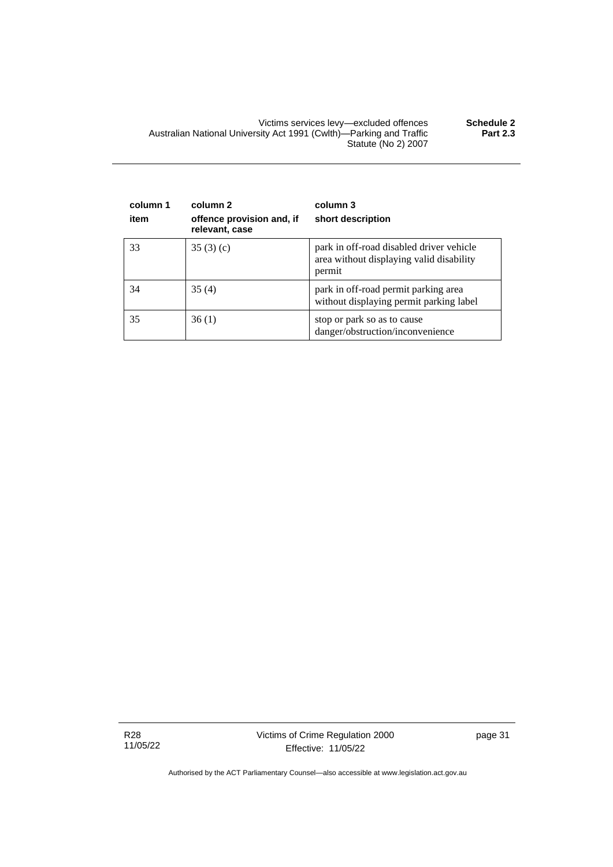Victims services levy—excluded offences **Schedule 2** Australian National University Act 1991 (Cwlth)—Parking and Traffic Statute (No 2) 2007 **Part 2.3**

| column 1<br>item | column 2<br>offence provision and, if<br>relevant, case | column 3<br>short description                                                                  |
|------------------|---------------------------------------------------------|------------------------------------------------------------------------------------------------|
| 33               | 35(3)(c)                                                | park in off-road disabled driver vehicle<br>area without displaying valid disability<br>permit |
| 34               | 35(4)                                                   | park in off-road permit parking area<br>without displaying permit parking label                |
| 35               | 36(1)                                                   | stop or park so as to cause<br>danger/obstruction/inconvenience                                |

R28 11/05/22 page 31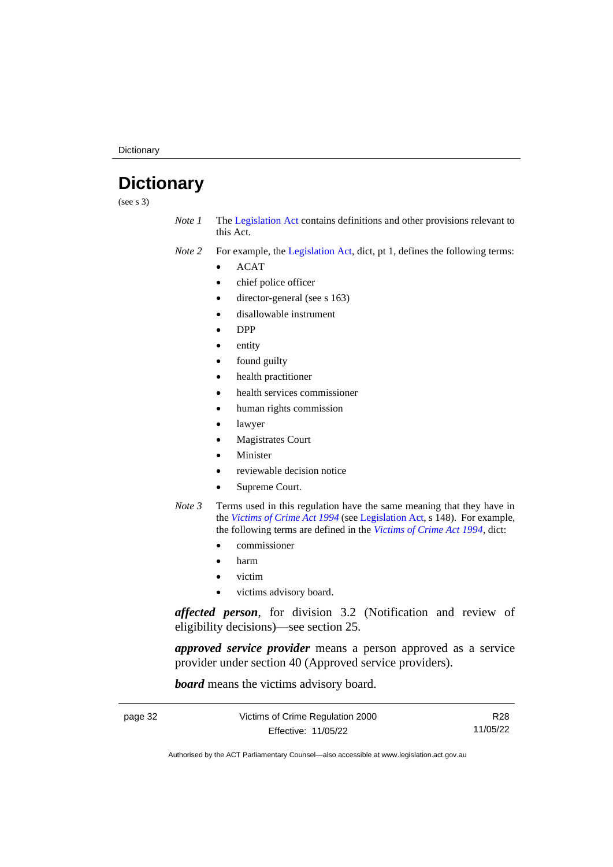**Dictionary** 

# <span id="page-37-0"></span>**Dictionary**

(see s 3)

*Note 1* The [Legislation Act](http://www.legislation.act.gov.au/a/2001-14) contains definitions and other provisions relevant to this Act.

*Note 2* For example, the [Legislation Act,](http://www.legislation.act.gov.au/a/2001-14) dict, pt 1, defines the following terms:

- ACAT
- chief police officer
- director-general (see s 163)
- disallowable instrument
- DPP
- entity
- found guilty
- health practitioner
- health services commissioner
- human rights commission
- lawyer
- Magistrates Court
- **Minister**
- reviewable decision notice
- Supreme Court.
- *Note 3* Terms used in this regulation have the same meaning that they have in the *[Victims of Crime Act 1994](http://www.legislation.act.gov.au/a/1994-83)* (see [Legislation Act,](http://www.legislation.act.gov.au/a/2001-14) s 148). For example, the following terms are defined in the *[Victims of Crime Act 1994](http://www.legislation.act.gov.au/a/1994-83)*, dict:
	- commissioner
	- harm
	- victim
	- victims advisory board.

*affected person*, for division 3.2 (Notification and review of eligibility decisions)—see section 25.

*approved service provider* means a person approved as a service provider under section 40 (Approved service providers).

*board* means the victims advisory board.

| page 32 | Victims of Crime Regulation 2000 | R28      |
|---------|----------------------------------|----------|
|         | Effective: 11/05/22              | 11/05/22 |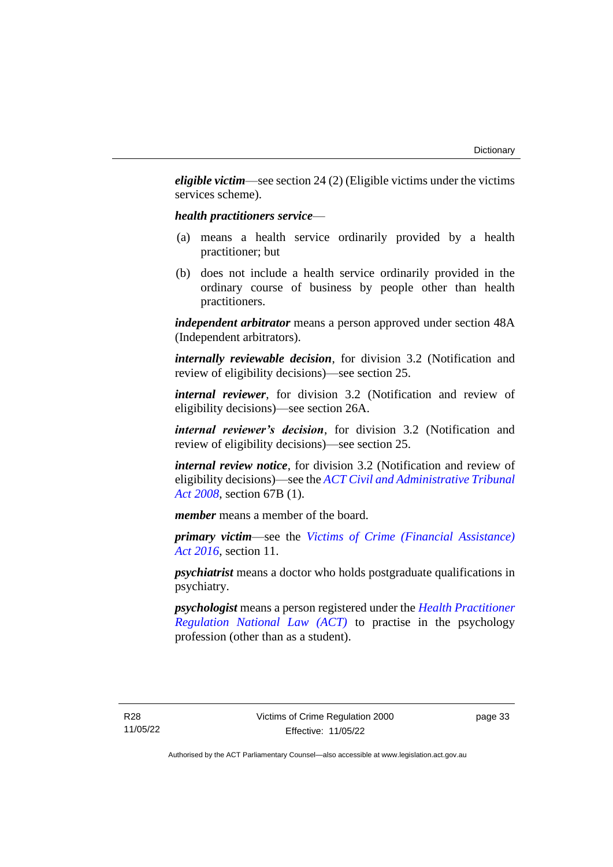*eligible victim*—see section 24 (2) (Eligible victims under the victims services scheme).

### *health practitioners service*—

- (a) means a health service ordinarily provided by a health practitioner; but
- (b) does not include a health service ordinarily provided in the ordinary course of business by people other than health practitioners.

*independent arbitrator* means a person approved under section 48A (Independent arbitrators).

*internally reviewable decision*, for division 3.2 (Notification and review of eligibility decisions)—see section 25.

*internal reviewer*, for division 3.2 (Notification and review of eligibility decisions)—see section 26A.

*internal reviewer's decision*, for division 3.2 (Notification and review of eligibility decisions)—see section 25.

*internal review notice*, for division 3.2 (Notification and review of eligibility decisions)—see the *[ACT Civil and Administrative Tribunal](http://www.legislation.act.gov.au/a/2008-35)  [Act 2008](http://www.legislation.act.gov.au/a/2008-35)*, section 67B (1).

*member* means a member of the board.

*primary victim*—see the *[Victims of Crime \(Financial Assistance\)](http://www.legislation.act.gov.au/a/2016-12/default.asp)  Act [2016](http://www.legislation.act.gov.au/a/2016-12/default.asp)*, section 11.

*psychiatrist* means a doctor who holds postgraduate qualifications in psychiatry.

*psychologist* means a person registered under the *[Health Practitioner](http://www.legislation.act.gov.au/a/db_39269/default.asp)  [Regulation National Law \(ACT\)](http://www.legislation.act.gov.au/a/db_39269/default.asp)* to practise in the psychology profession (other than as a student).

page 33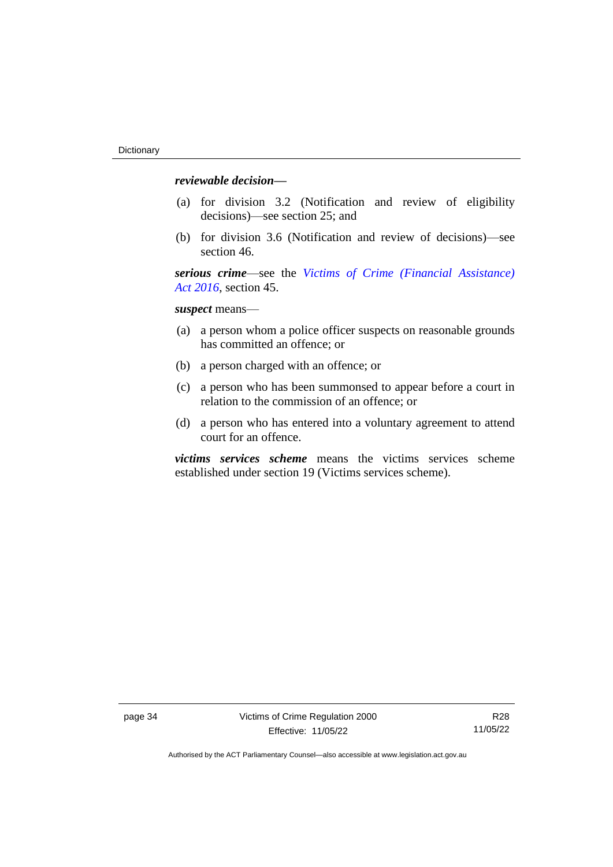# *reviewable decision—*

- (a) for division 3.2 (Notification and review of eligibility decisions)—see section 25; and
- (b) for division 3.6 (Notification and review of decisions)—see section 46.

*serious crime*—see the *[Victims of Crime \(Financial Assistance\)](http://www.legislation.act.gov.au/a/2016-12/default.asp)  Act [2016](http://www.legislation.act.gov.au/a/2016-12/default.asp)*, section 45.

*suspect* means—

- (a) a person whom a police officer suspects on reasonable grounds has committed an offence; or
- (b) a person charged with an offence; or
- (c) a person who has been summonsed to appear before a court in relation to the commission of an offence; or
- (d) a person who has entered into a voluntary agreement to attend court for an offence.

*victims services scheme* means the victims services scheme established under section 19 (Victims services scheme).

R28 11/05/22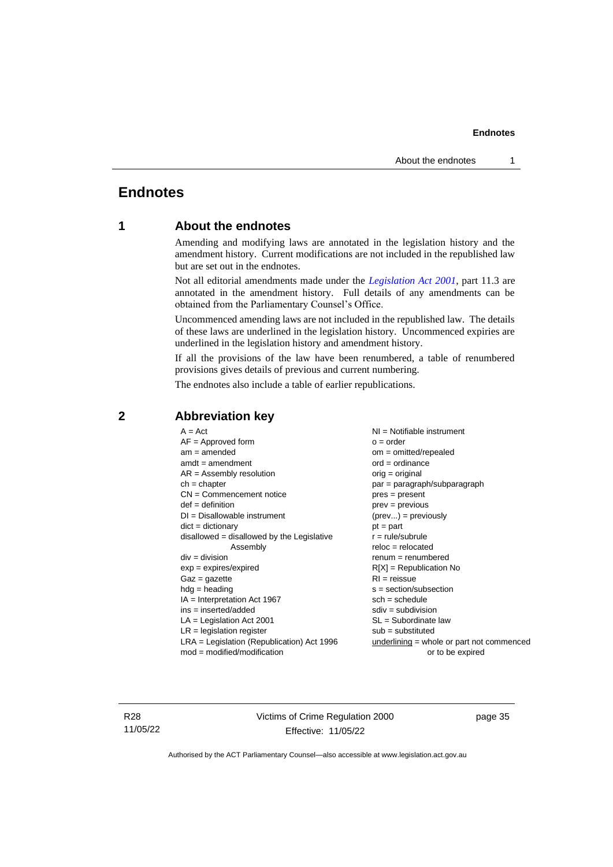# <span id="page-40-1"></span><span id="page-40-0"></span>**Endnotes**

# **1 About the endnotes**

Amending and modifying laws are annotated in the legislation history and the amendment history. Current modifications are not included in the republished law but are set out in the endnotes.

Not all editorial amendments made under the *[Legislation Act 2001](http://www.legislation.act.gov.au/a/2001-14)*, part 11.3 are annotated in the amendment history. Full details of any amendments can be obtained from the Parliamentary Counsel's Office.

Uncommenced amending laws are not included in the republished law. The details of these laws are underlined in the legislation history. Uncommenced expiries are underlined in the legislation history and amendment history.

If all the provisions of the law have been renumbered, a table of renumbered provisions gives details of previous and current numbering.

The endnotes also include a table of earlier republications.

| $A = Act$                                    | $NI = Notifiable$ instrument                |
|----------------------------------------------|---------------------------------------------|
| $AF =$ Approved form                         | $o = order$                                 |
| $am = amended$                               | $om = omitted/repealed$                     |
| $amdt = amendment$                           | $ord = ordinance$                           |
| $AR = Assembly resolution$                   | $orig = original$                           |
| $ch = chapter$                               | par = paragraph/subparagraph                |
| $CN =$ Commencement notice                   | pres = present                              |
| $def = definition$                           | prev = previous                             |
| $DI = Disallowable instrument$               | $(\text{prev}) = \text{previously}$         |
| $dict = dictionary$                          | $pt = part$                                 |
| $disallowed = disallowed by the Legislative$ | $r = rule/subrule$                          |
| Assembly                                     | $reloc = relocated$                         |
| $div = division$                             | $renum = renumbered$                        |
| $exp = expires/expired$                      | $R[X]$ = Republication No                   |
| $Gaz = gazette$                              | $RI =$ reissue                              |
| $hdg =$ heading                              | $s = section/subsection$                    |
| $IA = Interpretation Act 1967$               | $sch = schedule$                            |
| ins = inserted/added                         | $sdiv = subdivision$                        |
| $LA =$ Legislation Act 2001                  | $SL = Subordinate$ law                      |
| $LR =$ legislation register                  | $sub =$ substituted                         |
| $LRA =$ Legislation (Republication) Act 1996 | $underlining = whole or part not commenced$ |
| $mod = modified/modification$                | or to be expired                            |
|                                              |                                             |

# <span id="page-40-2"></span>**2 Abbreviation key**

R28 11/05/22 Victims of Crime Regulation 2000 Effective: 11/05/22

page 35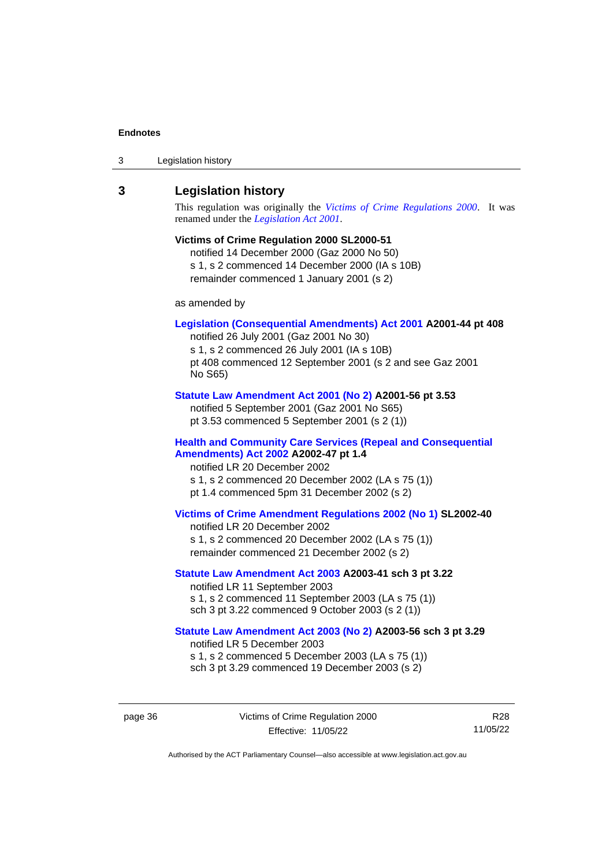| 3 | Legislation history |  |
|---|---------------------|--|
|---|---------------------|--|

### <span id="page-41-0"></span>**3 Legislation history**

This regulation was originally the *[Victims of Crime Regulations 2000](http://www.legislation.act.gov.au/sl/2000-51)*. It was renamed under the *[Legislation Act 2001](http://www.legislation.act.gov.au/a/2001-14)*.

### **Victims of Crime Regulation 2000 SL2000-51**

notified 14 December 2000 (Gaz 2000 No 50) s 1, s 2 commenced 14 December 2000 (IA s 10B) remainder commenced 1 January 2001 (s 2)

as amended by

### **[Legislation \(Consequential Amendments\) Act 2001](http://www.legislation.act.gov.au/a/2001-44) A2001-44 pt 408**

notified 26 July 2001 (Gaz 2001 No 30) s 1, s 2 commenced 26 July 2001 (IA s 10B) pt 408 commenced 12 September 2001 (s 2 and see Gaz 2001 No S65)

#### **[Statute Law Amendment Act 2001 \(No 2\)](http://www.legislation.act.gov.au/a/2001-56) A2001-56 pt 3.53**

notified 5 September 2001 (Gaz 2001 No S65) pt 3.53 commenced 5 September 2001 (s 2 (1))

### **[Health and Community Care Services \(Repeal and Consequential](http://www.legislation.act.gov.au/a/2002-47)  [Amendments\) Act 2002](http://www.legislation.act.gov.au/a/2002-47) A2002-47 pt 1.4**

notified LR 20 December 2002 s 1, s 2 commenced 20 December 2002 (LA s 75 (1)) pt 1.4 commenced 5pm 31 December 2002 (s 2)

#### **[Victims of Crime Amendment Regulations 2002 \(No 1\)](http://www.legislation.act.gov.au/sl/2002-40) SL2002-40**

notified LR 20 December 2002 s 1, s 2 commenced 20 December 2002 (LA s 75 (1)) remainder commenced 21 December 2002 (s 2)

### **[Statute Law Amendment Act 2003](http://www.legislation.act.gov.au/a/2003-41) A2003-41 sch 3 pt 3.22**

notified LR 11 September 2003 s 1, s 2 commenced 11 September 2003 (LA s 75 (1)) sch 3 pt 3.22 commenced 9 October 2003 (s 2 (1))

### **[Statute Law Amendment Act 2003 \(No 2\)](http://www.legislation.act.gov.au/a/2003-56) A2003-56 sch 3 pt 3.29** notified LR 5 December 2003

s 1, s 2 commenced 5 December 2003 (LA s 75 (1)) sch 3 pt 3.29 commenced 19 December 2003 (s 2)

page 36 Victims of Crime Regulation 2000 Effective: 11/05/22

R28 11/05/22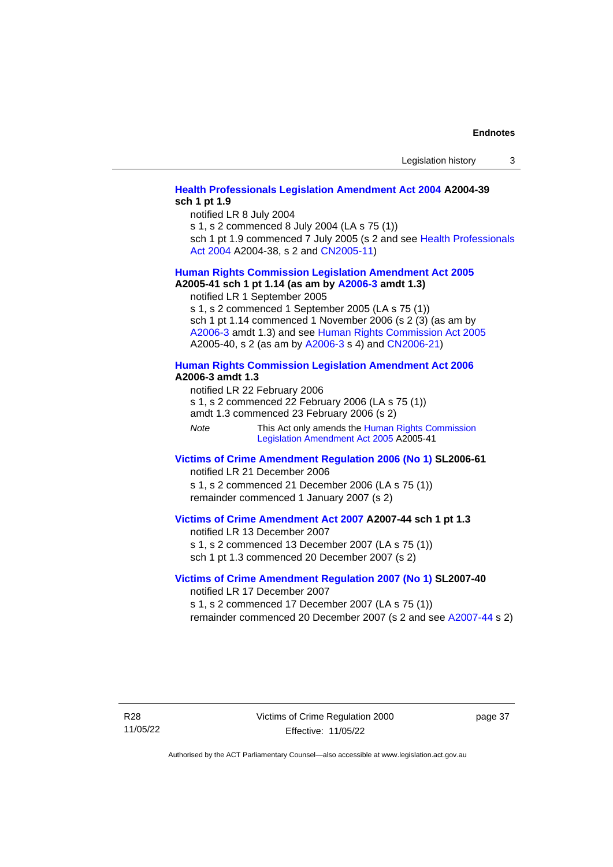### **[Health Professionals Legislation Amendment Act 2004](http://www.legislation.act.gov.au/a/2004-39) A2004-39 sch 1 pt 1.9**

notified LR 8 July 2004

s 1, s 2 commenced 8 July 2004 (LA s 75 (1))

sch 1 pt 1.9 commenced 7 July 2005 (s 2 and see Health Professionals [Act 2004](http://www.legislation.act.gov.au/a/2004-38) A2004-38, s 2 and [CN2005-11\)](http://www.legislation.act.gov.au/cn/2005-11/default.asp)

# **[Human Rights Commission Legislation Amendment Act](http://www.legislation.act.gov.au/a/2005-41) 2005**

**A2005-41 sch 1 pt 1.14 (as am by [A2006-3](http://www.legislation.act.gov.au/a/2006-3) amdt 1.3)** notified LR 1 September 2005

s 1, s 2 commenced 1 September 2005 (LA s 75 (1)) sch 1 pt 1.14 commenced 1 November 2006 (s 2 (3) (as am by [A2006-3](http://www.legislation.act.gov.au/a/2006-3) amdt 1.3) and see [Human Rights Commission Act 2005](http://www.legislation.act.gov.au/a/2005-40) A2005-40, s 2 (as am by [A2006-3](http://www.legislation.act.gov.au/a/2006-3) s 4) and [CN2006-21\)](http://www.legislation.act.gov.au/cn/2006-21/default.asp)

### **[Human Rights Commission Legislation Amendment Act 2006](http://www.legislation.act.gov.au/a/2006-3) A2006-3 amdt 1.3**

notified LR 22 February 2006 s 1, s 2 commenced 22 February 2006 (LA s 75 (1)) amdt 1.3 commenced 23 February 2006 (s 2)

*Note* This Act only amends the Human Rights Commission [Legislation Amendment Act](http://www.legislation.act.gov.au/a/2005-41) 2005 A2005-41

#### **[Victims of Crime Amendment Regulation](http://www.legislation.act.gov.au/sl/2006-61) 2006 (No 1) SL2006-61** notified LR 21 December 2006

s 1, s 2 commenced 21 December 2006 (LA s 75 (1)) remainder commenced 1 January 2007 (s 2)

# **[Victims of Crime Amendment Act 2007](http://www.legislation.act.gov.au/a/2007-44) A2007-44 sch 1 pt 1.3**

notified LR 13 December 2007 s 1, s 2 commenced 13 December 2007 (LA s 75 (1)) sch 1 pt 1.3 commenced 20 December 2007 (s 2)

#### **Victims of Crime [Amendment Regulation](http://www.legislation.act.gov.au/sl/2007-40) 2007 (No 1) SL2007-40** notified LR 17 December 2007

s 1, s 2 commenced 17 December 2007 (LA s 75 (1)) remainder commenced 20 December 2007 (s 2 and see [A2007-44](http://www.legislation.act.gov.au/a/2007-44) s 2)

R28

11/05/22

page 37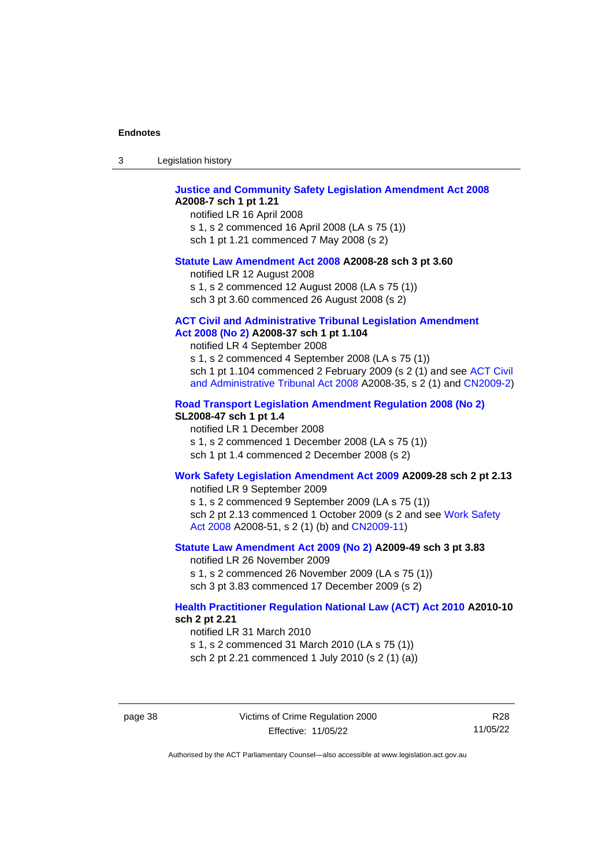|  | -3 | Legislation history |  |
|--|----|---------------------|--|
|--|----|---------------------|--|

#### **[Justice and Community Safety Legislation Amendment Act 2008](http://www.legislation.act.gov.au/a/2008-7) A2008-7 sch 1 pt 1.21**

notified LR 16 April 2008 s 1, s 2 commenced 16 April 2008 (LA s 75 (1)) sch 1 pt 1.21 commenced 7 May 2008 (s 2)

#### **[Statute Law Amendment Act 2008](http://www.legislation.act.gov.au/a/2008-28) A2008-28 sch 3 pt 3.60**

notified LR 12 August 2008 s 1, s 2 commenced 12 August 2008 (LA s 75 (1)) sch 3 pt 3.60 commenced 26 August 2008 (s 2)

#### **[ACT Civil and Administrative Tribunal Legislation Amendment](http://www.legislation.act.gov.au/a/2008-37)**

### **Act [2008 \(No](http://www.legislation.act.gov.au/a/2008-37) 2) A2008-37 sch 1 pt 1.104**

notified LR 4 September 2008

s 1, s 2 commenced 4 September 2008 (LA s 75 (1)) sch 1 pt 1.104 commenced 2 February 2009 (s 2 (1) and see [ACT Civil](http://www.legislation.act.gov.au/a/2008-35)  [and Administrative Tribunal Act 2008](http://www.legislation.act.gov.au/a/2008-35) A2008-35, s 2 (1) and [CN2009-2\)](http://www.legislation.act.gov.au/cn/2009-2/default.asp)

#### **[Road Transport Legislation Amendment Regulation 2008 \(No 2\)](http://www.legislation.act.gov.au/sl/2008-47)**

### **SL2008-47 sch 1 pt 1.4**

notified LR 1 December 2008 s 1, s 2 commenced 1 December 2008 (LA s 75 (1)) sch 1 pt 1.4 commenced 2 December 2008 (s 2)

#### **[Work Safety Legislation Amendment Act 2009](http://www.legislation.act.gov.au/a/2009-28) A2009-28 sch 2 pt 2.13**

notified LR 9 September 2009

s 1, s 2 commenced 9 September 2009 (LA s 75 (1)) sch 2 pt 2.13 commenced 1 October 2009 (s 2 and see Work Safety [Act 2008](http://www.legislation.act.gov.au/a/2008-51) A2008-51, s 2 (1) (b) and [CN2009-11\)](http://www.legislation.act.gov.au/cn/2009-11/default.asp)

### **[Statute Law Amendment Act 2009 \(No 2\)](http://www.legislation.act.gov.au/a/2009-49) A2009-49 sch 3 pt 3.83**

notified LR 26 November 2009 s 1, s 2 commenced 26 November 2009 (LA s 75 (1)) sch 3 pt 3.83 commenced 17 December 2009 (s 2)

### **[Health Practitioner Regulation National Law \(ACT\) Act 2010](http://www.legislation.act.gov.au/a/2010-10) A2010-10 sch 2 pt 2.21**

notified LR 31 March 2010

s 1, s 2 commenced 31 March 2010 (LA s 75 (1))

sch 2 pt 2.21 commenced 1 July 2010 (s 2 (1) (a))

page 38 Victims of Crime Regulation 2000 Effective: 11/05/22

R28 11/05/22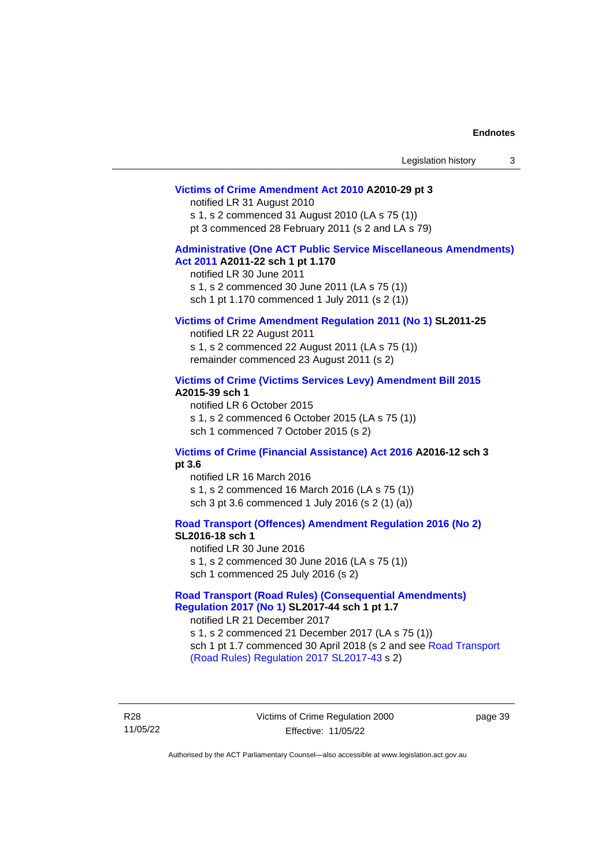| Legislation history |  |
|---------------------|--|
|---------------------|--|

#### **[Victims of Crime Amendment Act 2010](http://www.legislation.act.gov.au/a/2010-29) A2010-29 pt 3**

notified LR 31 August 2010 s 1, s 2 commenced 31 August 2010 (LA s 75 (1))

pt 3 commenced 28 February 2011 (s 2 and LA s 79)

#### **[Administrative \(One ACT Public Service Miscellaneous Amendments\)](http://www.legislation.act.gov.au/a/2011-22)  Act [2011](http://www.legislation.act.gov.au/a/2011-22) A2011-22 sch 1 pt 1.170**

notified LR 30 June 2011 s 1, s 2 commenced 30 June 2011 (LA s 75 (1))

sch 1 pt 1.170 commenced 1 July 2011 (s 2 (1))

#### **[Victims of Crime Amendment Regulation](http://www.legislation.act.gov.au/sl/2011-25) 2011 (No 1) SL2011-25**

notified LR 22 August 2011 s 1, s 2 commenced 22 August 2011 (LA s 75 (1)) remainder commenced 23 August 2011 (s 2)

#### **[Victims of Crime \(Victims Services Levy\) Amendment Bill 2015](http://www.legislation.act.gov.au/a/2015-39) A2015-39 sch 1**

notified LR 6 October 2015 s 1, s 2 commenced 6 October 2015 (LA s 75 (1)) sch 1 commenced 7 October 2015 (s 2)

#### **[Victims of Crime \(Financial Assistance\) Act 2016](http://www.legislation.act.gov.au/a/2016-12/default.asp) A2016-12 sch 3 pt 3.6**

notified LR 16 March 2016 s 1, s 2 commenced 16 March 2016 (LA s 75 (1)) sch 3 pt 3.6 commenced 1 July 2016 (s 2 (1) (a))

**[Road Transport \(Offences\) Amendment Regulation 2016 \(No 2\)](http://www.legislation.act.gov.au/sl/2016-18)**

**SL2016-18 sch 1**

notified LR 30 June 2016 s 1, s 2 commenced 30 June 2016 (LA s 75 (1)) sch 1 commenced 25 July 2016 (s 2)

**[Road Transport \(Road Rules\) \(Consequential Amendments\)](http://www.legislation.act.gov.au/sl/2017-44/default.asp)  Regulation [2017 \(No 1\)](http://www.legislation.act.gov.au/sl/2017-44/default.asp) SL2017-44 sch 1 pt 1.7**

notified LR 21 December 2017 s 1, s 2 commenced 21 December 2017 (LA s 75 (1)) sch 1 pt 1.7 commenced 30 April 2018 (s 2 and see Road Transport [\(Road Rules\) Regulation 2017](http://www.legislation.act.gov.au/sl/2017-43/default.asp) SL2017-43 s 2)

R28 11/05/22 Victims of Crime Regulation 2000 Effective: 11/05/22

page 39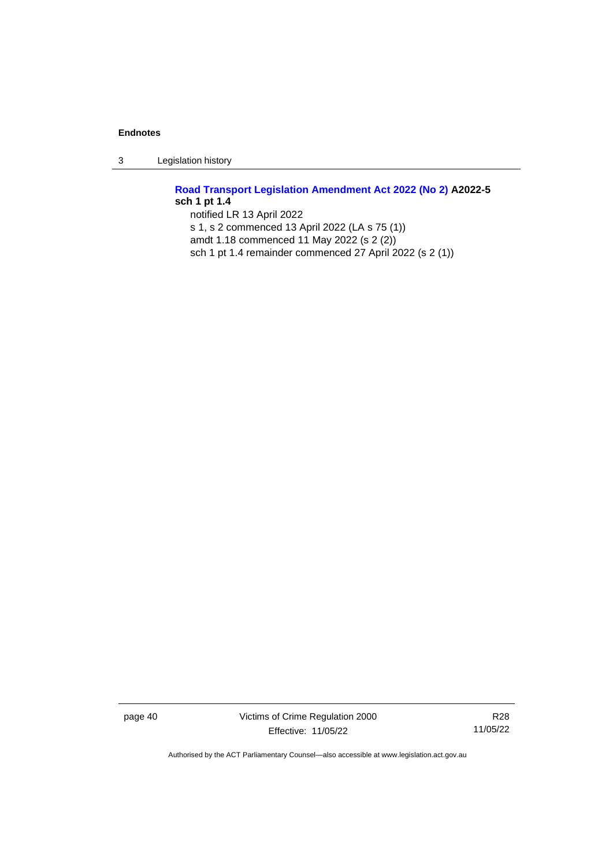3 Legislation history

# **[Road Transport Legislation Amendment Act 2022 \(No 2\)](http://www.legislation.act.gov.au/a/2022-5) A2022-5 sch 1 pt 1.4**

notified LR 13 April 2022 s 1, s 2 commenced 13 April 2022 (LA s 75 (1)) amdt 1.18 commenced 11 May 2022 (s 2 (2)) sch 1 pt 1.4 remainder commenced 27 April 2022 (s 2 (1))

page 40 Victims of Crime Regulation 2000 Effective: 11/05/22

R28 11/05/22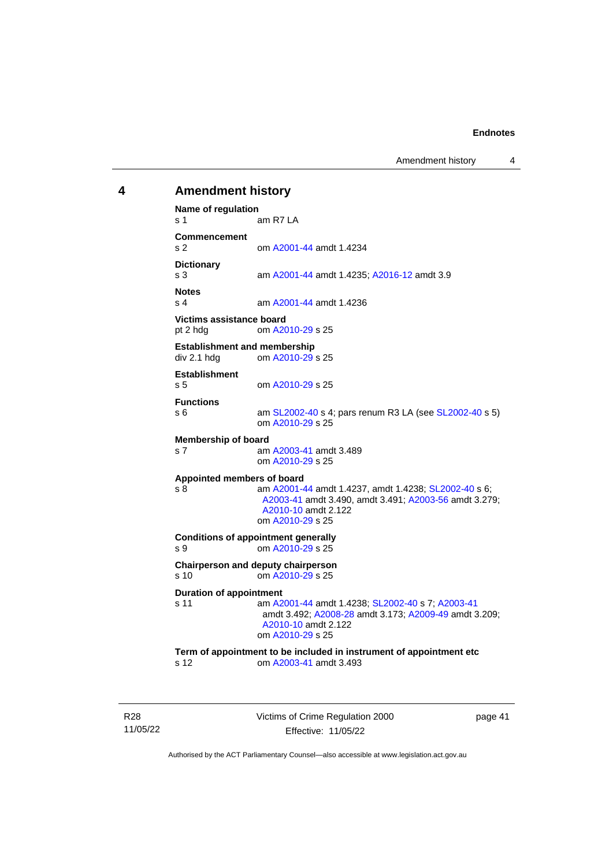Amendment history 4

# <span id="page-46-0"></span>**4 Amendment history Name of regulation** s 1 am R7 LA **Commencement** s 2 om [A2001-44](http://www.legislation.act.gov.au/a/2001-44) amdt 1.4234 **Dictionary** am [A2001-44](http://www.legislation.act.gov.au/a/2001-44) amdt 1.4235; [A2016-12](http://www.legislation.act.gov.au/a/2016-12/default.asp) amdt 3.9 **Notes** s 4 am [A2001-44](http://www.legislation.act.gov.au/a/2001-44) amdt 1.4236 **Victims assistance board** pt 2 hdg om [A2010-29](http://www.legislation.act.gov.au/a/2010-29) s 25 **Establishment and membership**<br>div 2.1 hdd om A2010-29 om [A2010-29](http://www.legislation.act.gov.au/a/2010-29) s 25 **Establishment** s 5 om [A2010-29](http://www.legislation.act.gov.au/a/2010-29) s 25 **Functions** s 6 am [SL2002-40](http://www.legislation.act.gov.au/sl/2002-40) s 4; pars renum R3 LA (see [SL2002-40](http://www.legislation.act.gov.au/sl/2002-40) s 5) om [A2010-29](http://www.legislation.act.gov.au/a/2010-29) s 25 **Membership of board** s 7 am [A2003-41](http://www.legislation.act.gov.au/a/2003-41) amdt 3.489 om [A2010-29](http://www.legislation.act.gov.au/a/2010-29) s 25 **Appointed members of board** s 8 am [A2001-44](http://www.legislation.act.gov.au/a/2001-44) amdt 1.4237, amdt 1.4238[; SL2002-40](http://www.legislation.act.gov.au/sl/2002-40) s 6; [A2003-41](http://www.legislation.act.gov.au/a/2003-41) amdt 3.490, amdt 3.491[; A2003-56](http://www.legislation.act.gov.au/a/2003-56) amdt 3.279; [A2010-10](http://www.legislation.act.gov.au/a/2010-10) amdt 2.122 om [A2010-29](http://www.legislation.act.gov.au/a/2010-29) s 25 **Conditions of appointment generally** s 9 om [A2010-29](http://www.legislation.act.gov.au/a/2010-29) s 25 **Chairperson and deputy chairperson** s 10 om [A2010-29](http://www.legislation.act.gov.au/a/2010-29) s 25 **Duration of appointment** s 11 am [A2001-44](http://www.legislation.act.gov.au/a/2001-44) amdt 1.4238[; SL2002-40](http://www.legislation.act.gov.au/sl/2002-40) s 7; [A2003-41](http://www.legislation.act.gov.au/a/2003-41) amdt 3.492; [A2008-28](http://www.legislation.act.gov.au/a/2008-28) amdt 3.173[; A2009-49](http://www.legislation.act.gov.au/a/2009-49) amdt 3.209; [A2010-10](http://www.legislation.act.gov.au/a/2010-10) amdt 2.122 om [A2010-29](http://www.legislation.act.gov.au/a/2010-29) s 25 **Term of appointment to be included in instrument of appointment etc** s 12 om [A2003-41](http://www.legislation.act.gov.au/a/2003-41) amdt 3.493

R28 11/05/22 Victims of Crime Regulation 2000 Effective: 11/05/22

page 41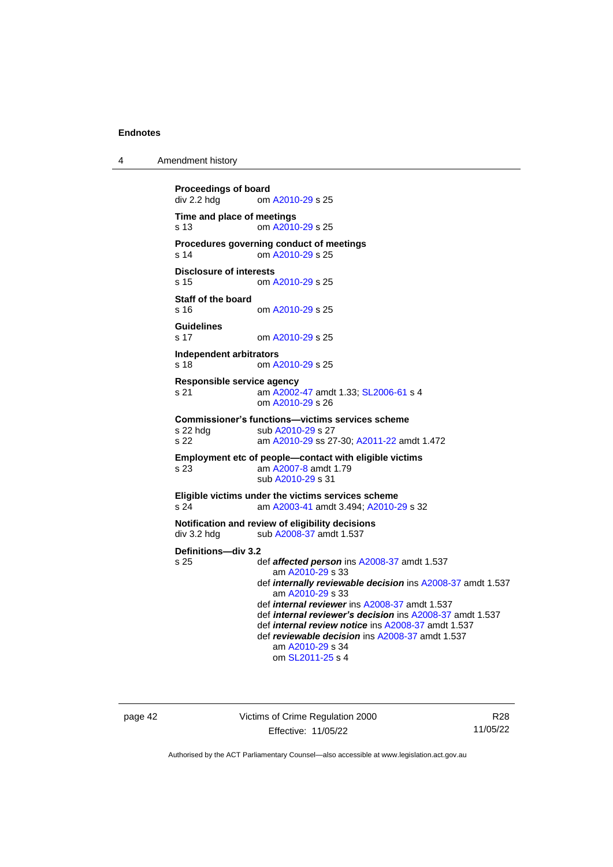4 Amendment history

```
Proceedings of board<br>div 2.2 hdg om
                 A2010-29 s 25
Time and place of meetings
s 13 om A2010-29 s 25
Procedures governing conduct of meetings
s 14 om A2010-29 s 25
Disclosure of interests
s 15 om A2010-29 s 25
Staff of the board
s 16 om A2010-29 s 25
Guidelines
s 17 om A2010-29 s 25
Independent arbitrators<br>s 18 cm A
                 A2010-29 s 25
Responsible service agency
s 21 am A2002-47 amdt 1.33; SL2006-61 s 4
                om A2010-29 s 26
Commissioner's functions—victims services scheme
 A2010-29 s 27
s 22 am A2010-29 ss 27-30; A2011-22 amdt 1.472
Employment etc of people—contact with eligible victims
s 23 am A2007-8 amdt 1.79
                sub A2010-29 s 31
Eligible victims under the victims services scheme
s 24 am A2003-41 amdt 3.494; A2010-29 s 32
Notification and review of eligibility decisions
 A2008-37 amdt 1.537
Definitions—div 3.2
                def affected persons A2008-37 amdt 1.537
                   am A2010-29 s 33
                def internally reviewable decision ins A2008-37 amdt 1.537
                   am A2010-29 s 33
                def internal reviewer ins A2008-37 amdt 1.537
                def internal reviewer's decision ins A2008-37 amdt 1.537
                def internal review notice ins A2008-37 amdt 1.537
                def reviewable decision ins A2008-37 amdt 1.537
                   am A2010-29 s 34
                   om SL2011-25 s 4
```
page 42 Victims of Crime Regulation 2000 Effective: 11/05/22

R28 11/05/22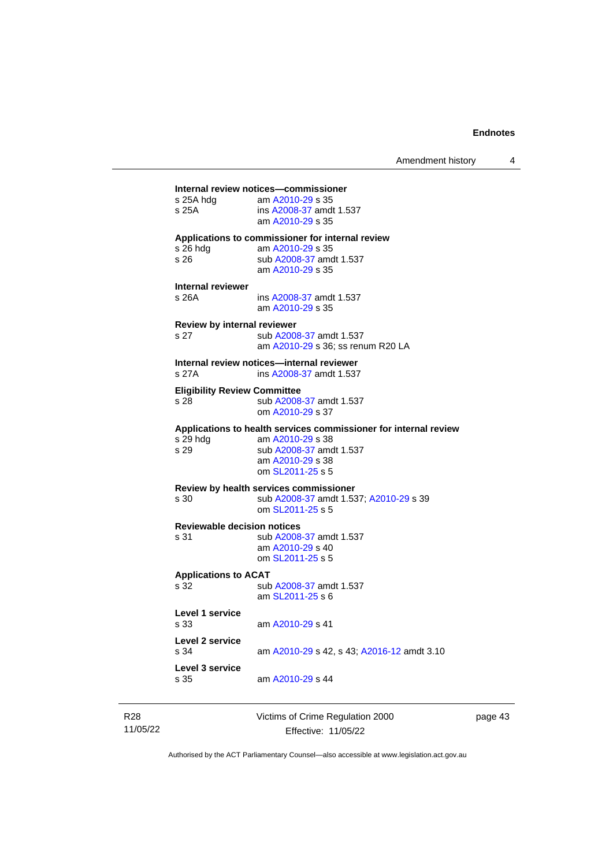# —<br>Internal review notices—commissio

| Internal review notices—commissioner                                                                                                                    |
|---------------------------------------------------------------------------------------------------------------------------------------------------------|
| am A2010-29 s 35<br>ins A2008-37 amdt 1.537<br>am A2010-29 s 35                                                                                         |
| Applications to commissioner for internal review<br>am A2010-29 s 35<br>sub A2008-37 amdt 1.537<br>am A2010-29 s 35                                     |
| ins A2008-37 amdt 1.537<br>am A2010-29 s 35                                                                                                             |
| Review by internal reviewer<br>sub A2008-37 amdt 1.537<br>am A2010-29 s 36; ss renum R20 LA                                                             |
| Internal review notices-internal reviewer<br>ins A2008-37 amdt 1.537                                                                                    |
| <b>Eligibility Review Committee</b><br>sub A2008-37 amdt 1.537<br>om A2010-29 s 37                                                                      |
| Applications to health services commissioner for internal review<br>am A2010-29 s 38<br>sub A2008-37 amdt 1.537<br>am A2010-29 s 38<br>om SL2011-25 s 5 |
| Review by health services commissioner<br>sub A2008-37 amdt 1.537; A2010-29 s 39<br>om SL2011-25 s 5                                                    |
| <b>Reviewable decision notices</b><br>sub A2008-37 amdt 1.537<br>am A2010-29 s 40<br>om SL2011-25 s 5                                                   |
| <b>Applications to ACAT</b><br>sub A2008-37 amdt 1.537<br>am SL2011-25 s 6                                                                              |
| am A2010-29 s 41                                                                                                                                        |
| am A2010-29 s 42, s 43; A2016-12 amdt 3.10                                                                                                              |
| am A2010-29 s 44                                                                                                                                        |
|                                                                                                                                                         |

| R28      | Victims of Crime Regulation 2000 | page 43 |
|----------|----------------------------------|---------|
| 11/05/22 | Effective: 11/05/22              |         |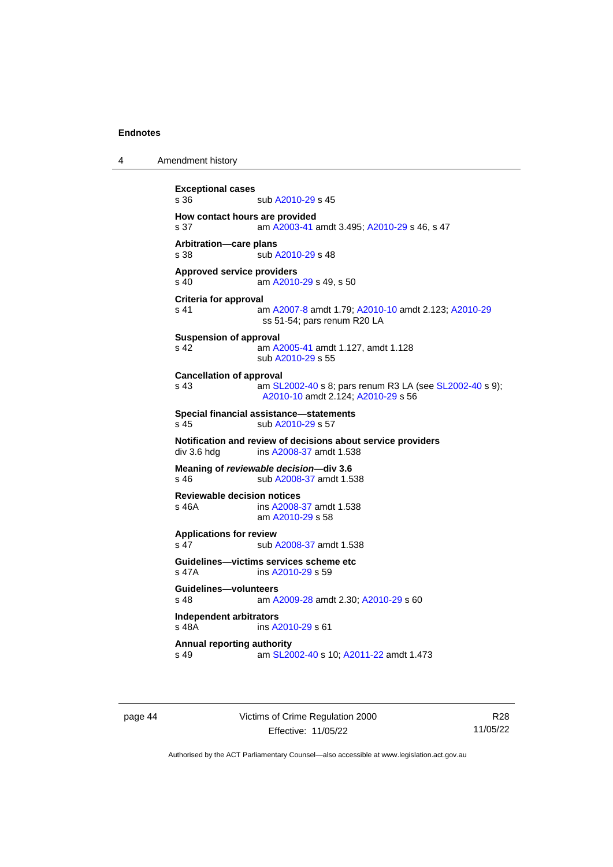4 Amendment history

```
Exceptional cases
                A2010-29 s 45
How contact hours are provided
s 37 am A2003-41 amdt 3.495; A2010-29 s 46, s 47
Arbitration—care plans
 A2010-29 s 48
Approved service providers
s 40  A2010-29 s 49, s 50
Criteria for approval
s 41 am A2007-8 amdt 1.79; A2010-10 amdt 2.123; A2010-29
               ss 51-54; pars renum R20 LA
Suspension of approval
s 42 am A2005-41 amdt 1.127, amdt 1.128
               sub A2010-29 s 55
Cancellation of approval
s 43  SL2002-40 s 8; pars renum R3 LA (see SL2002-40 s 9);
                A2010-10 amdt 2.124; A2010-29 s 56
Special financial assistance—statements
 A2010-29 s 57
Notification and review of decisions about service providers
 A2008-37 amdt 1.538
Meaning of reviewable decision—div 3.6
s 46 sub A2008-37 amdt 1.538
Reviewable decision notices
s 46A ins A2008-37 amdt 1.538
               am A2010-29 s 58
Applications for review
 A2008-37 amdt 1.538
Guidelines—victims services scheme etc
s 47A ins A2010-29 s 59
Guidelines—volunteers
s 48 am A2009-28 amdt 2.30; A2010-29 s 60
Independent arbitrators
                A2010-29 s 61
Annual reporting authority
s 49 am SL2002-40 s 10; A2011-22 amdt 1.473
```
page 44 Victims of Crime Regulation 2000 Effective: 11/05/22

R28 11/05/22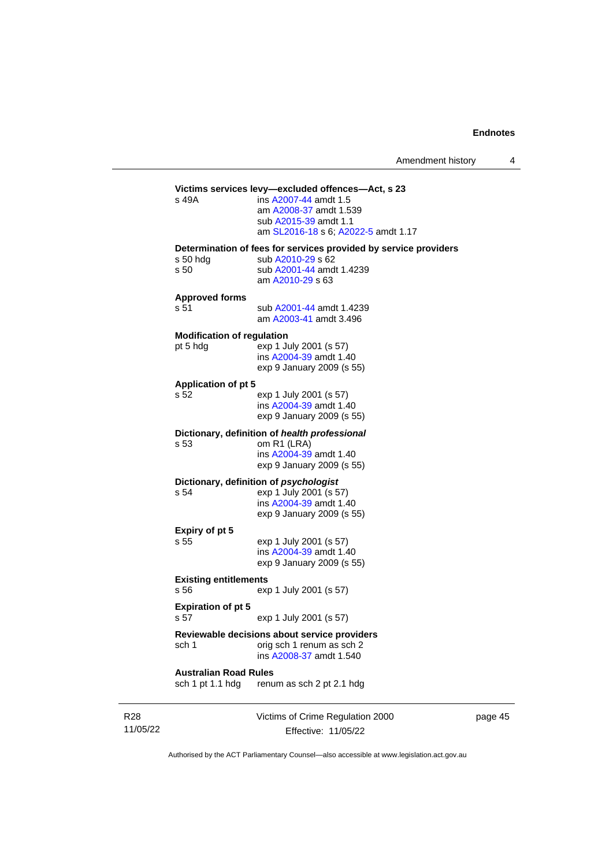| Amendment history |  |
|-------------------|--|
|-------------------|--|

#### **Victims services levy—excluded offences—Act, s 23** s 49A

| ins A2007-44 amdt 1.5               |
|-------------------------------------|
| am A2008-37 amdt 1.539              |
| sub A2015-39 amdt 1.1               |
| am SL2016-18 s 6; A2022-5 amdt 1.17 |
|                                     |

#### **Determination of fees for services provided by service providers**

|  |      | s 50 hdg |
|--|------|----------|
|  | s 50 |          |

sub [A2010-29](http://www.legislation.act.gov.au/a/2010-29) s 62 sub [A2001-44](http://www.legislation.act.gov.au/a/2001-44) amdt 1.4239 am [A2010-29](http://www.legislation.act.gov.au/a/2010-29) s 63

#### **Approved forms**

s 51 sub [A2001-44](http://www.legislation.act.gov.au/a/2001-44) amdt 1.4239 am [A2003-41](http://www.legislation.act.gov.au/a/2003-41) amdt 3.496

#### **Modification of regulation**

pt 5 hdg exp 1 July 2001 (s 57) ins [A2004-39](http://www.legislation.act.gov.au/a/2004-39) amdt 1.40 exp 9 January 2009 (s 55)

#### **Application of pt 5**

s 52 exp 1 July 2001 (s 57) ins [A2004-39](http://www.legislation.act.gov.au/a/2004-39) amdt 1.40 exp 9 January 2009 (s 55)

#### **Dictionary, definition of** *health professional*

s 53 om R1 (LRA) ins [A2004-39](http://www.legislation.act.gov.au/a/2004-39) amdt 1.40 exp 9 January 2009 (s 55)

# **Dictionary, definition of** *psychologist*<br>s 54 exp 1 July 2001 (s 5

exp 1 July 2001 (s 57) ins [A2004-39](http://www.legislation.act.gov.au/a/2004-39) amdt 1.40 exp 9 January 2009 (s 55)

# **Expiry of pt 5**

exp 1 July 2001 (s 57) ins [A2004-39](http://www.legislation.act.gov.au/a/2004-39) amdt 1.40 exp 9 January 2009 (s 55)

### **Existing entitlements**

s 56 exp 1 July 2001 (s 57)

#### **Expiration of pt 5**

s 57 exp 1 July 2001 (s 57)

#### **Reviewable decisions about service providers** sch 1 orig sch 1 renum as sch 2

ins [A2008-37](http://www.legislation.act.gov.au/a/2008-37) amdt 1.540

**Australian Road Rules**

sch 1 pt 1.1 hdg renum as sch 2 pt 2.1 hdg

R28 11/05/22 Victims of Crime Regulation 2000 Effective: 11/05/22

page 45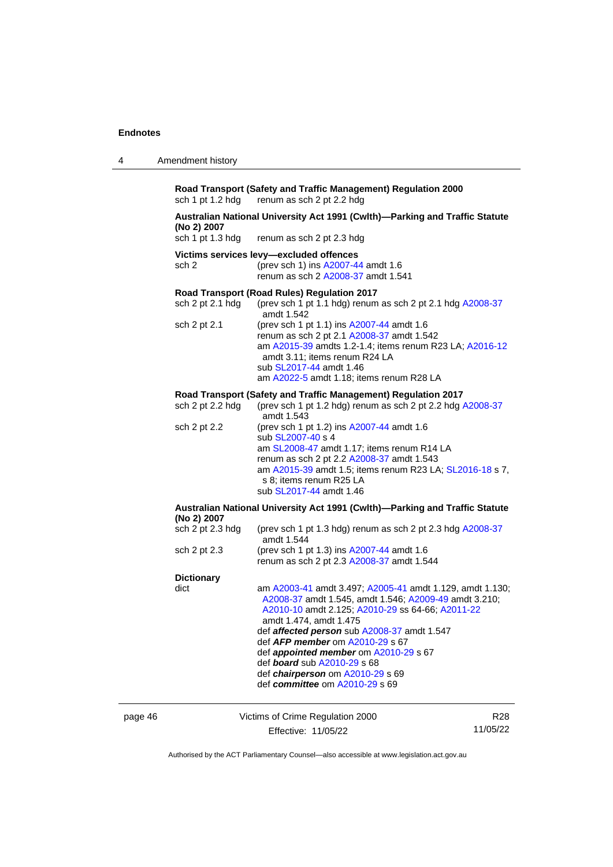| Amendment history<br>4 |  |
|------------------------|--|
|------------------------|--|

**Road Transport (Safety and Traffic Management) Regulation 2000** sch 1 pt 1.2 hdg renum as sch 2 pt 2.2 hdg renum as sch 2 pt 2.2 hdg

# **Australian National University Act 1991 (Cwlth)—Parking and Traffic Statute (No 2) 2007**

renum as sch 2 pt 2.3 hdg

#### **Victims services levy—excluded offences**

sch 2 (prev sch 1) ins [A2007-44](http://www.legislation.act.gov.au/a/2007-44) amdt 1.6 renum as sch 2 [A2008-37](http://www.legislation.act.gov.au/a/2008-37) amdt 1.541

#### **Road Transport (Road Rules) Regulation 2017**

| sch $2$ pt $2.1$ hdg | (prev sch 1 pt 1.1 hdg) renum as sch 2 pt 2.1 hdg $A2008-37$<br>amdt 1.542 |
|----------------------|----------------------------------------------------------------------------|
|                      |                                                                            |
| sch 2 pt 2.1         | (prev sch 1 pt 1.1) ins A2007-44 amdt 1.6                                  |
|                      | renum as sch 2 pt 2.1 A2008-37 amdt 1.542                                  |
|                      | am A2015-39 amdts 1.2-1.4; items renum R23 LA; A2016-12                    |
|                      | amdt 3.11; items renum R24 LA                                              |
|                      | sub SL2017-44 amdt 1.46                                                    |
|                      | am A2022-5 amdt 1.18; items renum R28 LA                                   |
|                      |                                                                            |

#### **Road Transport (Safety and Traffic Management) Regulation 2017**<br>sch 2 pt 2.2 hdg (prev sch 1 pt 1.2 hdg) renum as sch 2 pt 2.2 hdg /  $\frac{1}{2}$  (prev sch 1 pt 1.2 hdg) renum as sch 2 pt 2.2 hdg  $\frac{1}{2}$  [A2008-37](http://www.legislation.act.gov.au/a/2008-37)

| 00120123222  | (provident printering) forming don't prize hag rizooo or<br>amdt 1.543                                                                                                                                                                                                      |
|--------------|-----------------------------------------------------------------------------------------------------------------------------------------------------------------------------------------------------------------------------------------------------------------------------|
| sch 2 pt 2.2 | (prev sch 1 pt 1.2) ins A2007-44 amdt 1.6<br>sub SL2007-40 s 4<br>am SL2008-47 amdt 1.17; items renum R14 LA<br>renum as sch 2 pt 2.2 A2008-37 amdt 1.543<br>am A2015-39 amdt 1.5; items renum R23 LA; SL2016-18 s 7,<br>s 8; items renum R25 LA<br>sub SL2017-44 amdt 1.46 |

#### **Australian National University Act 1991 (Cwlth)—Parking and Traffic Statute (No 2) 2007** (prev sch 1 pt 1.3 hdg) renum as sch 2 pt 2.3 hdg  $A2008-37$

|                   | amdt 1.544                                                                             |
|-------------------|----------------------------------------------------------------------------------------|
| sch 2 pt 2.3      | (prev sch 1 pt 1.3) ins A2007-44 amdt 1.6<br>renum as sch 2 pt 2.3 A2008-37 amdt 1.544 |
| <b>Dictionary</b> |                                                                                        |

| dict | am A2003-41 amdt 3.497; A2005-41 amdt 1.129, amdt 1.130; |
|------|----------------------------------------------------------|
|      | A2008-37 amdt 1.545, amdt 1.546; A2009-49 amdt 3.210;    |
|      | A2010-10 amdt 2.125; A2010-29 ss 64-66; A2011-22         |
|      | amdt 1.474, amdt 1.475                                   |
|      | def affected person sub A2008-37 amdt 1.547              |
|      | def <b>AFP</b> member om A2010-29 s 67                   |
|      | def <i>appointed member</i> om A2010-29 s 67             |
|      | def <b>board</b> sub A2010-29 s 68                       |
|      | def chairperson om A2010-29 s 69                         |
|      | def committee om A2010-29 s 69                           |
|      |                                                          |

| page 46 | Victims of Crime Regulation 2000 | R28      |
|---------|----------------------------------|----------|
|         | Effective: 11/05/22              | 11/05/22 |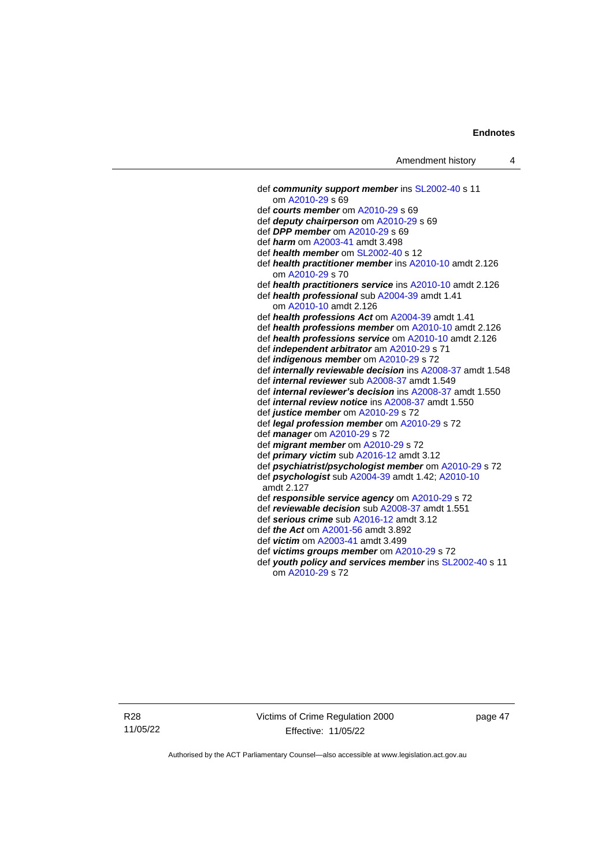def *community support member* ins [SL2002-40](http://www.legislation.act.gov.au/sl/2002-40) s 11 om [A2010-29](http://www.legislation.act.gov.au/a/2010-29) s 69 def *courts member* o[m A2010-29](http://www.legislation.act.gov.au/a/2010-29) s 69 def *deputy chairperson* om [A2010-29](http://www.legislation.act.gov.au/a/2010-29) s 69 def *DPP member* o[m A2010-29](http://www.legislation.act.gov.au/a/2010-29) s 69 def *harm* o[m A2003-41](http://www.legislation.act.gov.au/a/2003-41) amdt 3.498 def *health member* o[m SL2002-40](http://www.legislation.act.gov.au/sl/2002-40) s 12 def *health practitioner member* in[s A2010-10](http://www.legislation.act.gov.au/a/2010-10) amdt 2.126 om [A2010-29](http://www.legislation.act.gov.au/a/2010-29) s 70 def *health practitioners service* in[s A2010-10](http://www.legislation.act.gov.au/a/2010-10) amdt 2.126 def *health professional* sub [A2004-39](http://www.legislation.act.gov.au/a/2004-39) amdt 1.41 om [A2010-10](http://www.legislation.act.gov.au/a/2010-10) amdt 2.126 def *health professions Act* o[m A2004-39](http://www.legislation.act.gov.au/a/2004-39) amdt 1.41 def *health professions member* om [A2010-10](http://www.legislation.act.gov.au/a/2010-10) amdt 2.126 def *health professions service* om [A2010-10](http://www.legislation.act.gov.au/a/2010-10) amdt 2.126 def *independent arbitrator* a[m A2010-29](http://www.legislation.act.gov.au/a/2010-29) s 71 def *indigenous member* om [A2010-29](http://www.legislation.act.gov.au/a/2010-29) s 72 def *internally reviewable decision* ins [A2008-37](http://www.legislation.act.gov.au/a/2008-37) amdt 1.548 def *internal reviewer* sub [A2008-37](http://www.legislation.act.gov.au/a/2008-37) amdt 1.549 def *internal reviewer's decision* in[s A2008-37](http://www.legislation.act.gov.au/a/2008-37) amdt 1.550 def *internal review notice* in[s A2008-37](http://www.legislation.act.gov.au/a/2008-37) amdt 1.550 def *justice member* o[m A2010-29](http://www.legislation.act.gov.au/a/2010-29) s 72 def *legal profession member* om [A2010-29](http://www.legislation.act.gov.au/a/2010-29) s 72 def *manager* om [A2010-29](http://www.legislation.act.gov.au/a/2010-29) s 72 def *migrant member* om [A2010-29](http://www.legislation.act.gov.au/a/2010-29) s 72 def *primary victim* sub [A2016-12](http://www.legislation.act.gov.au/a/2016-12/default.asp) amdt 3.12 def *psychiatrist/psychologist member* o[m A2010-29](http://www.legislation.act.gov.au/a/2010-29) s 72 def *psychologist* sub [A2004-39](http://www.legislation.act.gov.au/a/2004-39) amdt 1.42[; A2010-10](http://www.legislation.act.gov.au/a/2010-10) amdt 2.127 def *responsible service agency* om [A2010-29](http://www.legislation.act.gov.au/a/2010-29) s 72 def *reviewable decision* su[b A2008-37](http://www.legislation.act.gov.au/a/2008-37) amdt 1.551 def *serious crime* sub [A2016-12](http://www.legislation.act.gov.au/a/2016-12/default.asp) amdt 3.12 def *the Act* om [A2001-56](http://www.legislation.act.gov.au/a/2001-56) amdt 3.892 def *victim* o[m A2003-41](http://www.legislation.act.gov.au/a/2003-41) amdt 3.499 def *victims groups member* om [A2010-29](http://www.legislation.act.gov.au/a/2010-29) s 72 def *youth policy and services member* ins [SL2002-40](http://www.legislation.act.gov.au/sl/2002-40) s 11 om [A2010-29](http://www.legislation.act.gov.au/a/2010-29) s 72

R28 11/05/22 Victims of Crime Regulation 2000 Effective: 11/05/22

page 47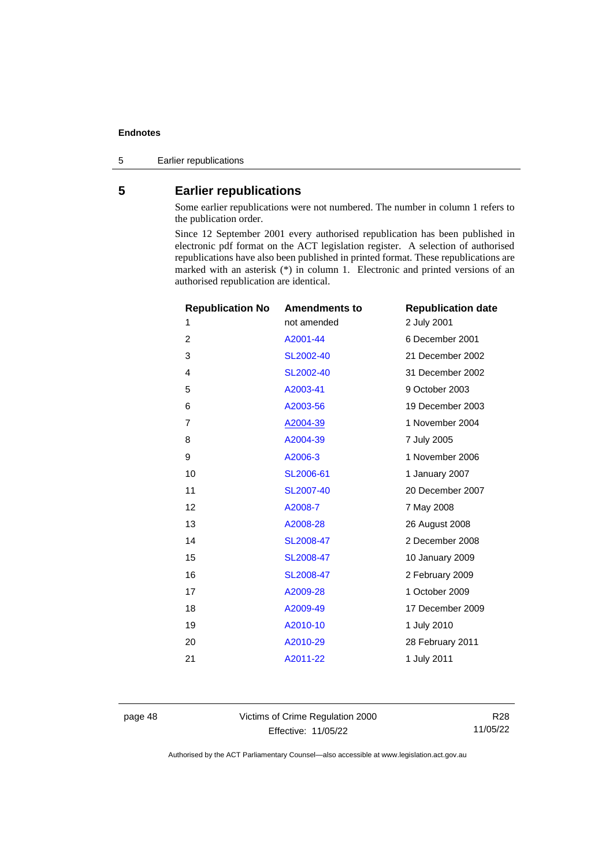Earlier republications

# <span id="page-53-0"></span>**Earlier republications**

Some earlier republications were not numbered. The number in column 1 refers to the publication order.

Since 12 September 2001 every authorised republication has been published in electronic pdf format on the ACT legislation register. A selection of authorised republications have also been published in printed format. These republications are marked with an asterisk (\*) in column 1. Electronic and printed versions of an authorised republication are identical.

| <b>Republication No</b> | <b>Amendments to</b> | <b>Republication date</b> |
|-------------------------|----------------------|---------------------------|
| 1                       | not amended          | 2 July 2001               |
| 2                       | A2001-44             | 6 December 2001           |
| 3                       | SL2002-40            | 21 December 2002          |
| 4                       | SL2002-40            | 31 December 2002          |
| 5                       | A2003-41             | 9 October 2003            |
| 6                       | A2003-56             | 19 December 2003          |
| 7                       | A2004-39             | 1 November 2004           |
| 8                       | A2004-39             | 7 July 2005               |
| 9                       | A2006-3              | 1 November 2006           |
| 10                      | SL2006-61            | 1 January 2007            |
| 11                      | SL2007-40            | 20 December 2007          |
| 12                      | A2008-7              | 7 May 2008                |
| 13                      | A2008-28             | 26 August 2008            |
| 14                      | SL2008-47            | 2 December 2008           |
| 15                      | SL2008-47            | 10 January 2009           |
| 16                      | SL2008-47            | 2 February 2009           |
| 17                      | A2009-28             | 1 October 2009            |
| 18                      | A2009-49             | 17 December 2009          |
| 19                      | A2010-10             | 1 July 2010               |
| 20                      | A2010-29             | 28 February 2011          |
| 21                      | A2011-22             | 1 July 2011               |
|                         |                      |                           |

page 48 Victims of Crime Regulation 2000 Effective: 11/05/22

R28 11/05/22